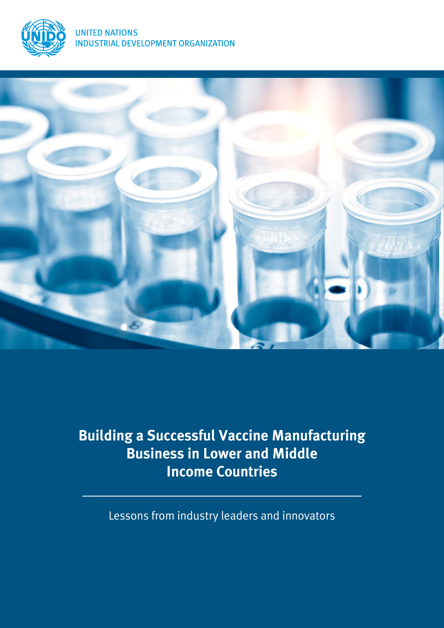



# **Building a Successful Vaccine Manufacturing Business in Lower and Middle Income Countries**

Lessons from industry leaders and innovators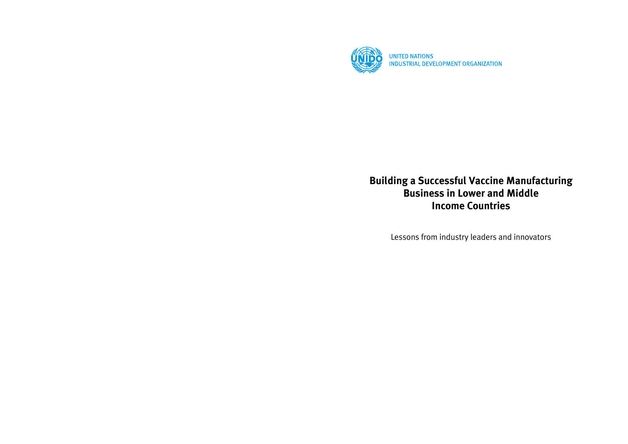

**Building a Successful Vaccine Manufacturing Business in Lower and Middle Income Countries**

Lessons from industry leaders and innovators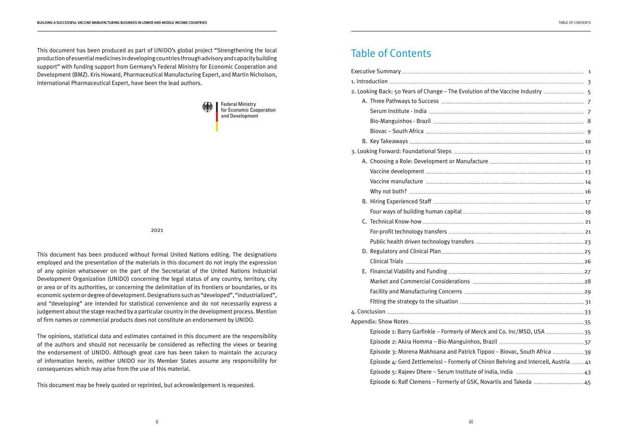# Table of Contents

| 2. Looking Back: 50 Years of Change - The Evolution of the Vaccine Industry          |  |
|--------------------------------------------------------------------------------------|--|
|                                                                                      |  |
|                                                                                      |  |
|                                                                                      |  |
|                                                                                      |  |
|                                                                                      |  |
|                                                                                      |  |
|                                                                                      |  |
|                                                                                      |  |
|                                                                                      |  |
|                                                                                      |  |
|                                                                                      |  |
|                                                                                      |  |
|                                                                                      |  |
|                                                                                      |  |
|                                                                                      |  |
|                                                                                      |  |
|                                                                                      |  |
|                                                                                      |  |
|                                                                                      |  |
|                                                                                      |  |
|                                                                                      |  |
|                                                                                      |  |
|                                                                                      |  |
| Episode 1: Barry Garfinkle - Formerly of Merck and Co. Inc/MSD, USA 35               |  |
|                                                                                      |  |
| Episode 3: Morena Makhoana and Patrick Tippoo - Biovac, South Africa 39              |  |
| Episode 4: Gerd Zettlemeissl - Formerly of Chiron Behring and Intercell, Austria  41 |  |
|                                                                                      |  |
|                                                                                      |  |

This document has been produced as part of UNIDO's global project "Strengthening the local production of essential medicines in developing countries through advisory and capacity building support" with funding support from Germany's Federal Ministry for Economic Cooperation and Development (BMZ). Kris Howard, Pharmaceutical Manufacturing Expert, and Martin Nicholson, International Pharmaceutical Expert, have been the lead authors.



**Federal Ministry** for Economic Cooperation and Development

2021

This document has been produced without formal United Nations editing. The designations employed and the presentation of the materials in this document do not imply the expression of any opinion whatsoever on the part of the Secretariat of the United Nations Industrial Development Organization (UNIDO) concerning the legal status of any country, territory, city or area or of its authorities, or concerning the delimitation of its frontiers or boundaries, or its economic system or degree of development. Designations such as "developed", "industrialized", and "developing" are intended for statistical convenience and do not necessarily express a judgement about the stage reached by a particular country in the development process. Mention of firm names or commercial products does not constitute an endorsement by UNIDO.

The opinions, statistical data and estimates contained in this document are the responsibility of the authors and should not necessarily be considered as reflecting the views or bearing the endorsement of UNIDO. Although great care has been taken to maintain the accuracy of information herein, neither UNIDO nor its Member States assume any responsibility for consequences which may arise from the use of this material.

This document may be freely quoted or reprinted, but acknowledgement is requested.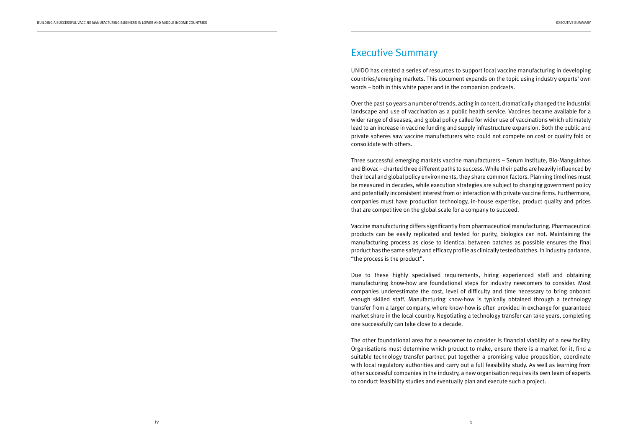# Executive Summary

UNIDO has created a series of resources to support local vaccine manufacturing in developing countries/emerging markets. This document expands on the topic using industry experts' own words – both in this white paper and in the companion podcasts.

Over the past 50 years a number of trends, acting in concert, dramatically changed the industrial landscape and use of vaccination as a public health service. Vaccines became available for a wider range of diseases, and global policy called for wider use of vaccinations which ultimately lead to an increase in vaccine funding and supply infrastructure expansion. Both the public and private spheres saw vaccine manufacturers who could not compete on cost or quality fold or consolidate with others.

Three successful emerging markets vaccine manufacturers – Serum Institute, Bio-Manguinhos and Biovac – charted three different paths to success. While their paths are heavily influenced by their local and global policy environments, they share common factors. Planning timelines must be measured in decades, while execution strategies are subject to changing government policy and potentially inconsistent interest from or interaction with private vaccine firms. Furthermore, companies must have production technology, in-house expertise, product quality and prices that are competitive on the global scale for a company to succeed.

Vaccine manufacturing differs significantly from pharmaceutical manufacturing. Pharmaceutical products can be easily replicated and tested for purity, biologics can not. Maintaining the manufacturing process as close to identical between batches as possible ensures the final product has the same safety and efficacy profile as clinically tested batches. In industry parlance, "the process is the product".

Due to these highly specialised requirements, hiring experienced staff and obtaining manufacturing know-how are foundational steps for industry newcomers to consider. Most companies underestimate the cost, level of difficulty and time necessary to bring onboard enough skilled staff. Manufacturing know-how is typically obtained through a technology transfer from a larger company, where know-how is often provided in exchange for guaranteed market share in the local country. Negotiating a technology transfer can take years, completing one successfully can take close to a decade.

The other foundational area for a newcomer to consider is financial viability of a new facility. Organisations must determine which product to make, ensure there is a market for it, find a suitable technology transfer partner, put together a promising value proposition, coordinate with local regulatory authorities and carry out a full feasibility study. As well as learning from other successful companies in the industry, a new organisation requires its own team of experts to conduct feasibility studies and eventually plan and execute such a project.

1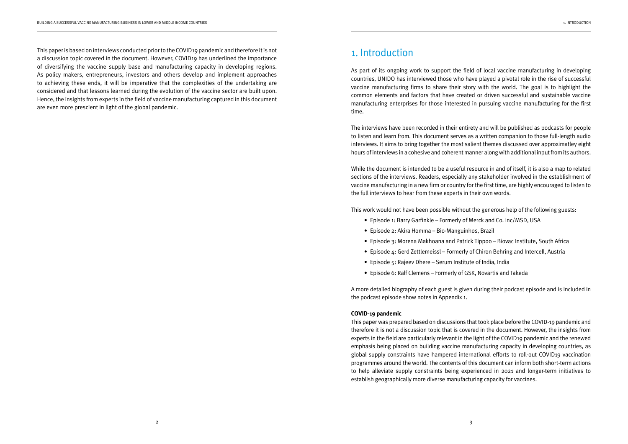This paper is based on interviews conducted prior to the COVID19 pandemic and therefore it is not a discussion topic covered in the document. However, COVID19 has underlined the importance of diversifying the vaccine supply base and manufacturing capacity in developing regions. As policy makers, entrepreneurs, investors and others develop and implement approaches to achieving these ends, it will be imperative that the complexities of the undertaking are considered and that lessons learned during the evolution of the vaccine sector are built upon. Hence, the insights from experts in the field of vaccine manufacturing captured in this document are even more prescient in light of the global pandemic.

# 1. Introduction

As part of its ongoing work to support the field of local vaccine manufacturing in developing countries, UNIDO has interviewed those who have played a pivotal role in the rise of successful vaccine manufacturing firms to share their story with the world. The goal is to highlight the common elements and factors that have created or driven successful and sustainable vaccine manufacturing enterprises for those interested in pursuing vaccine manufacturing for the first time.

The interviews have been recorded in their entirety and will be published as podcasts for people to listen and learn from. This document serves as a written companion to those full-length audio interviews. It aims to bring together the most salient themes discussed over approximatley eight hours of interviews in a cohesive and coherent manner along with additional input from its authors.

While the document is intended to be a useful resource in and of itself, it is also a map to related sections of the interviews. Readers, especially any stakeholder involved in the establishment of vaccine manufacturing in a new firm or country for the first time, are highly encouraged to listen to the full interviews to hear from these experts in their own words.

This work would not have been possible without the generous help of the following guests:

- Episode 1: Barry Garfinkle Formerly of Merck and Co. Inc/MSD, USA
- Episode 2: Akira Homma Bio-Manguinhos, Brazil
- Episode 3: Morena Makhoana and Patrick Tippoo Biovac Institute, South Africa
- Episode 4: Gerd Zettlemeissl Formerly of Chiron Behring and Intercell, Austria
- Episode 5: Rajeev Dhere Serum Institute of India, India
- Episode 6: Ralf Clemens Formerly of GSK, Novartis and Takeda

A more detailed biography of each guest is given during their podcast episode and is included in the podcast episode show notes in Appendix 1.

### **COVID-19 pandemic**

This paper was prepared based on discussions that took place before the COVID-19 pandemic and therefore it is not a discussion topic that is covered in the document. However, the insights from experts in the field are particularly relevant in the light of the COVID19 pandemic and the renewed emphasis being placed on building vaccine manufacturing capacity in developing countries, as global supply constraints have hampered international efforts to roll-out COVID19 vaccination programmes around the world. The contents of this document can inform both short-term actions to help alleviate supply constraints being experienced in 2021 and longer-term initiatives to establish geographically more diverse manufacturing capacity for vaccines.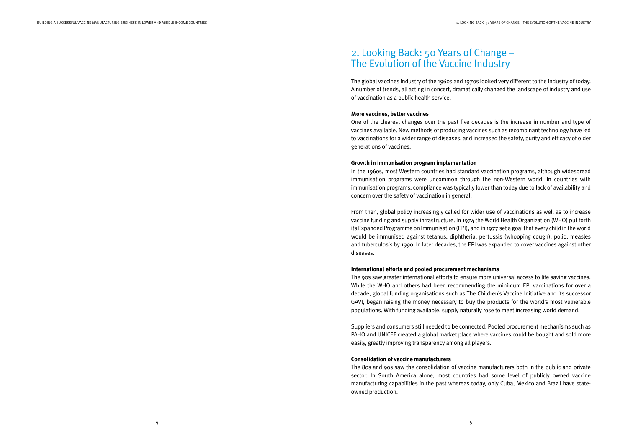# 2. Looking Back: 50 Years of Change – The Evolution of the Vaccine Industry

The global vaccines industry of the 1960s and 1970s looked very different to the industry of today. A number of trends, all acting in concert, dramatically changed the landscape of industry and use of vaccination as a public health service.

#### **More vaccines, better vaccines**

One of the clearest changes over the past five decades is the increase in number and type of vaccines available. New methods of producing vaccines such as recombinant technology have led to vaccinations for a wider range of diseases, and increased the safety, purity and efficacy of older generations of vaccines.

#### **Growth in immunisation program implementation**

In the 1960s, most Western countries had standard vaccination programs, although widespread immunisation programs were uncommon through the non-Western world. In countries with immunisation programs, compliance was typically lower than today due to lack of availability and concern over the safety of vaccination in general.

From then, global policy increasingly called for wider use of vaccinations as well as to increase vaccine funding and supply infrastructure. In 1974 the World Health Organization (WHO) put forth its Expanded Programme on Immunisation (EPI), and in 1977 set a goal that every child in the world would be immunised against tetanus, diphtheria, pertussis (whooping cough), polio, measles and tuberculosis by 1990. In later decades, the EPI was expanded to cover vaccines against other diseases.

#### **International efforts and pooled procurement mechanisms**

The 90s saw greater international efforts to ensure more universal access to life saving vaccines. While the WHO and others had been recommending the minimum EPI vaccinations for over a decade, global funding organisations such as The Children's Vaccine Initiative and its successor GAVI, began raising the money necessary to buy the products for the world's most vulnerable populations. With funding available, supply naturally rose to meet increasing world demand.

Suppliers and consumers still needed to be connected. Pooled procurement mechanisms such as PAHO and UNICEF created a global market place where vaccines could be bought and sold more easily, greatly improving transparency among all players.

#### **Consolidation of vaccine manufacturers**

The 80s and 90s saw the consolidation of vaccine manufacturers both in the public and private sector. In South America alone, most countries had some level of publicly owned vaccine manufacturing capabilities in the past whereas today, only Cuba, Mexico and Brazil have stateowned production.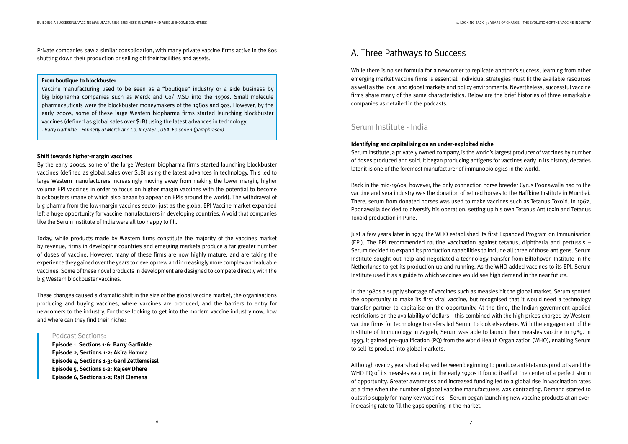Private companies saw a similar consolidation, with many private vaccine firms active in the 80s shutting down their production or selling off their facilities and assets.

#### **Shift towards higher-margin vaccines**

By the early 2000s, some of the large Western biopharma firms started launching blockbuster vaccines (defined as global sales over \$1B) using the latest advances in technology. This led to large Western manufacturers increasingly moving away from making the lower margin, higher volume EPI vaccines in order to focus on higher margin vaccines with the potential to become blockbusters (many of which also began to appear on EPIs around the world). The withdrawal of big pharma from the low-margin vaccines sector just as the global EPI Vaccine market expanded left a huge opportunity for vaccine manufacturers in developing countries. A void that companies like the Serum Institute of India were all too happy to fill.

Today, while products made by Western firms constitute the majority of the vaccines market by revenue, firms in developing countries and emerging markets produce a far greater number of doses of vaccine. However, many of these firms are now highly mature, and are taking the experience they gained over the years to develop new and increasingly more complex and valuable vaccines. Some of these novel products in development are designed to compete directly with the big Western blockbuster vaccines.

These changes caused a dramatic shift in the size of the global vaccine market, the organisations producing and buying vaccines, where vaccines are produced, and the barriers to entry for newcomers to the industry. For those looking to get into the modern vaccine industry now, how and where can they find their niche?

### Podcast Sections:

**Episode 1, Sections 1-6: Barry Garfinkle Episode 2, Sections 1-2: Akira Homma Episode 4, Sections 1-3: Gerd Zettlemeissl Episode 5, Sections 1-2: Rajeev Dhere Episode 6, Sections 1-2: Ralf Clemens**

#### **From boutique to blockbuster**

Vaccine manufacturing used to be seen as a "boutique" industry or a side business by big biopharma companies such as Merck and Co/ MSD into the 1990s. Small molecule pharmaceuticals were the blockbuster moneymakers of the 1980s and 90s. However, by the early 2000s, some of these large Western biopharma firms started launching blockbuster vaccines (defined as global sales over \$1B) using the latest advances in technology. - Barry Garfinkle – Formerly of Merck and Co. Inc/MSD, USA, Episode 1 (paraphrased)

A. Three Pathways to Success

## While there is no set formula for a newcomer to replicate another's success, learning from other emerging market vaccine firms is essential. Individual strategies must fit the available resources as well as the local and global markets and policy environments. Nevertheless, successful vaccine firms share many of the same characteristics. Below are the brief histories of three remarkable

companies as detailed in the podcasts.

## Serum Institute - India

**Identifying and capitalising on an under-exploited niche** Serum Institute, a privately owned company, is the world's largest producer of vaccines by number of doses produced and sold. It began producing antigens for vaccines early in its history, decades later it is one of the foremost manufacturer of immunobiologics in the world.

Back in the mid-1960s, however, the only connection horse breeder Cyrus Poonawalla had to the vaccine and sera industry was the donation of retired horses to the Haffkine Institute in Mumbai. There, serum from donated horses was used to make vaccines such as Tetanus Toxoid. In 1967, Poonawalla decided to diversify his operation, setting up his own Tetanus Antitoxin and Tetanus Toxoid production in Pune.

Just a few years later in 1974 the WHO established its first Expanded Program on Immunisation (EPI). The EPI recommended routine vaccination against tetanus, diphtheria and pertussis – Serum decided to expand its production capabilities to include all three of those antigens. Serum Institute sought out help and negotiated a technology transfer from Biltohoven Institute in the Netherlands to get its production up and running. As the WHO added vaccines to its EPI, Serum Institute used it as a guide to which vaccines would see high demand in the near future.

In the 1980s a supply shortage of vaccines such as measles hit the global market. Serum spotted the opportunity to make its first viral vaccine, but recognised that it would need a technology transfer partner to capitalise on the opportunity. At the time, the Indian government applied restrictions on the availability of dollars – this combined with the high prices charged by Western vaccine firms for technology transfers led Serum to look elsewhere. With the engagement of the Institute of Immunology in Zagreb, Serum was able to launch their measles vaccine in 1989. In 1993, it gained pre-qualification (PQ) from the World Health Organization (WHO), enabling Serum to sell its product into global markets.

Although over 25 years had elapsed between beginning to produce anti-tetanus products and the WHO PQ of its measles vaccine, in the early 1990s it found itself at the center of a perfect storm of opportunity. Greater awareness and increased funding led to a global rise in vaccination rates at a time when the number of global vaccine manufacturers was contracting. Demand started to outstrip supply for many key vaccines – Serum began launching new vaccine products at an everincreasing rate to fill the gaps opening in the market.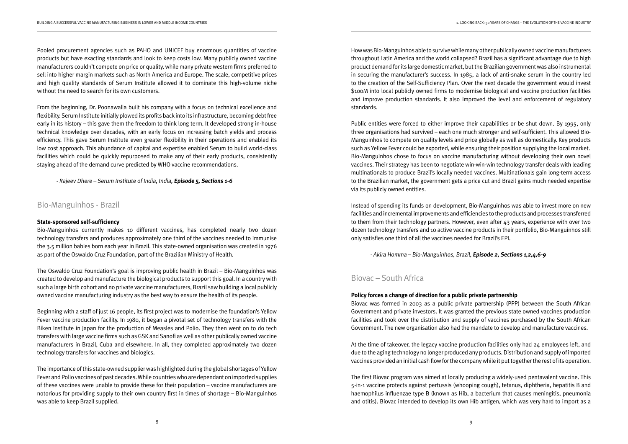Pooled procurement agencies such as PAHO and UNICEF buy enormous quantities of vaccine products but have exacting standards and look to keep costs low. Many publicly owned vaccine manufacturers couldn't compete on price or quality, while many private western firms preferred to sell into higher margin markets such as North America and Europe. The scale, competitive prices and high quality standards of Serum Institute allowed it to dominate this high-volume niche without the need to search for its own customers.

From the beginning, Dr. Poonawalla built his company with a focus on technical excellence and flexibility. Serum Institute initially plowed its profits back into its infrastructure, becoming debt free early in its history – this gave them the freedom to think long term. It developed strong in-house technical knowledge over decades, with an early focus on increasing batch yields and process efficiency. This gave Serum Institute even greater flexibility in their operations and enabled its low cost approach. This abundance of capital and expertise enabled Serum to build world-class facilities which could be quickly repurposed to make any of their early products, consistently staying ahead of the demand curve predicted by WHO vaccine recommendations.

- Rajeev Dhere – Serum Institute of India, India, **Episode 5, Sections 1-6**

## Bio-Manguinhos - Brazil

#### **State-sponsored self-sufficiency**

Bio-Manguinhos currently makes 10 different vaccines, has completed nearly two dozen technology transfers and produces approximately one third of the vaccines needed to immunise the 3.5 million babies born each year in Brazil. This state-owned organisation was created in 1976 as part of the Oswaldo Cruz Foundation, part of the Brazilian Ministry of Health.

The Oswaldo Cruz Foundation's goal is improving public health in Brazil – Bio-Manguinhos was created to develop and manufacture the biological products to support this goal. In a country with such a large birth cohort and no private vaccine manufacturers, Brazil saw building a local publicly owned vaccine manufacturing industry as the best way to ensure the health of its people.

Beginning with a staff of just 16 people, its first project was to modernise the foundation's Yellow Fever vaccine production facility. In 1980, it began a pivotal set of technology transfers with the Biken Institute in Japan for the production of Measles and Polio. They then went on to do tech transfers with large vaccine firms such as GSK and Sanofi as well as other publically owned vaccine manufacturers in Brazil, Cuba and elsewhere. In all, they completed approximately two dozen technology transfers for vaccines and biologics.

The importance of this state-owned supplier was highlighted during the global shortages of Yellow Fever and Polio vaccines of past decades. While countries who are dependant on imported supplies of these vaccines were unable to provide these for their population – vaccine manufacturers are notorious for providing supply to their own country first in times of shortage – Bio-Manguinhos was able to keep Brazil supplied.

How was Bio-Manguinhos able to survive while many other publically owned vaccine manufacturers throughout Latin America and the world collapsed? Brazil has a significant advantage due to high product demand for its large domestic market, but the Brazilian government was also instrumental in securing the manufacturer's success. In 1985, a lack of anti-snake serum in the country led to the creation of the Self-Sufficiency Plan. Over the next decade the government would invest \$100M into local publicly owned firms to modernise biological and vaccine production facilities and improve production standards. It also improved the level and enforcement of regulatory standards.

Public entities were forced to either improve their capabilities or be shut down. By 1995, only three organisations had survived – each one much stronger and self-sufficient. This allowed Bio-Manguinhos to compete on quality levels and price globally as well as domestically. Key products such as Yellow Fever could be exported, while ensuring their position supplying the local market. Bio-Manguinhos chose to focus on vaccine manufacturing without developing their own novel vaccines. Their strategy has been to negotiate win-win-win technology transfer deals with leading multinationals to produce Brazil's locally needed vaccines. Multinationals gain long-term access to the Brazilian market, the government gets a price cut and Brazil gains much needed expertise via its publicly owned entities.

Instead of spending its funds on development, Bio-Manguinhos was able to invest more on new facilities and incremental improvements and efficiencies to the products and processes transferred to them from their technology partners. However, even after 43 years, experience with over two dozen technology transfers and 10 active vaccine products in their portfolio, Bio-Manguinhos still only satisfies one third of all the vaccines needed for Brazil's EPI.

- Akira Homma – Bio-Manguinhos, Brazil, **Episode 2, Sections 1,2,4,6-9**

# Biovac – South Africa

**Policy forces a change of direction for a public private partnership** Biovac was formed in 2003 as a public private partnership (PPP) between the South African Government and private investors. It was granted the previous state owned vaccines production facilities and took over the distribution and supply of vaccines purchased by the South African Government. The new organisation also had the mandate to develop and manufacture vaccines.

At the time of takeover, the legacy vaccine production facilities only had 24 employees left, and due to the aging technology no longer produced any products. Distribution and supply of imported vaccines provided an initial cash flow for the company while it put together the rest of its operation.

The first Biovac program was aimed at locally producing a widely-used pentavalent vaccine. This 5-in-1 vaccine protects against pertussis (whooping cough), tetanus, diphtheria, hepatitis B and haemophilus influenzae type B (known as Hib, a bacterium that causes meningitis, pneumonia and otitis). Biovac intended to develop its own Hib antigen, which was very hard to import as a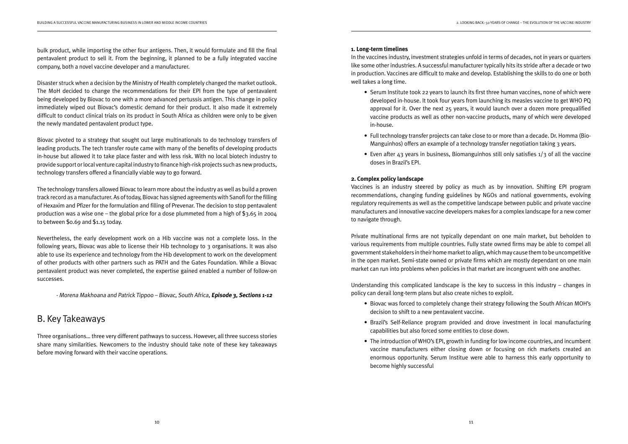bulk product, while importing the other four antigens. Then, it would formulate and fill the final pentavalent product to sell it. From the beginning, it planned to be a fully integrated vaccine company, both a novel vaccine developer and a manufacturer.

Disaster struck when a decision by the Ministry of Health completely changed the market outlook. The MoH decided to change the recommendations for their EPI from the type of pentavalent being developed by Biovac to one with a more advanced pertussis antigen. This change in policy immediately wiped out Biovac's domestic demand for their product. It also made it extremely difficult to conduct clinical trials on its product in South Africa as children were only to be given the newly mandated pentavalent product type.

Biovac pivoted to a strategy that sought out large multinationals to do technology transfers of leading products. The tech transfer route came with many of the benefits of developing products in-house but allowed it to take place faster and with less risk. With no local biotech industry to provide support or local venture capital industry to finance high-risk projects such as new products, technology transfers offered a financially viable way to go forward.

The technology transfers allowed Biovac to learn more about the industry as well as build a proven track record as a manufacturer. As of today, Biovac has signed agreements with Sanofi for the filling of Hexaxim and Pfizer for the formulation and filling of Prevenar. The decision to stop pentavalent production was a wise one – the global price for a dose plummeted from a high of \$3.65 in 2004 to between \$0.69 and \$1.15 today.

Nevertheless, the early development work on a Hib vaccine was not a complete loss. In the following years, Biovac was able to license their Hib technology to 3 organisations. It was also able to use its experience and technology from the Hib development to work on the development of other products with other partners such as PATH and the Gates Foundation. While a Biovac pentavalent product was never completed, the expertise gained enabled a number of follow-on successes.

- Morena Makhoana and Patrick Tippoo – Biovac, South Africa, **Episode 3, Sections 1-12**

# B. Key Takeaways

Three organisations… three very different pathways to success. However, all three success stories share many similarities. Newcomers to the industry should take note of these key takeaways before moving forward with their vaccine operations.

#### **1. Long-term timelines**

In the vaccines industry, investment strategies unfold in terms of decades, not in years or quarters like some other industries. A successful manufacturer typically hits its stride after a decade or two in production. Vaccines are difficult to make and develop. Establishing the skills to do one or both well takes a long time.

 • Serum Institute took 22 years to launch its first three human vaccines, none of which were developed in-house. It took four years from launching its measles vaccine to get WHO PQ approval for it. Over the next 25 years, it would launch over a dozen more prequalified vaccine products as well as other non-vaccine products, many of which were developed

- in-house.
- Full technology transfer projects can take close to or more than a decade. Dr. Homma (Bio-Manguinhos) offers an example of a technology transfer negotiation taking 3 years.
- Even after 43 years in business, Biomanguinhos still only satisfies 1/3 of all the vaccine doses in Brazil's EPI.

#### **2. Complex policy landscape**

Vaccines is an industry steered by policy as much as by innovation. Shifting EPI program recommendations, changing funding guidelines by NGOs and national governments, evolving regulatory requirements as well as the competitive landscape between public and private vaccine manufacturers and innovative vaccine developers makes for a complex landscape for a new comer to navigate through.

Private multinational firms are not typically dependant on one main market, but beholden to various requirements from multiple countries. Fully state owned firms may be able to compel all government stakeholders in their home market to align, which may cause them to be uncompetitive in the open market. Semi-state owned or private firms which are mostly dependant on one main market can run into problems when policies in that market are incongruent with one another.

Understanding this complicated landscape is the key to success in this industry – changes in policy can derail long-term plans but also create niches to exploit.

- Biovac was forced to completely change their strategy following the South African MOH's decision to shift to a new pentavalent vaccine.
- Brazil's Self-Reliance program provided and drove investment in local manufacturing capabilities but also forced some entities to close down.
- The introduction of WHO's EPI, growth in funding for low income countries, and incumbent vaccine manufacturers either closing down or focusing on rich markets created an enormous opportunity. Serum Institue were able to harness this early opportunity to become highly successful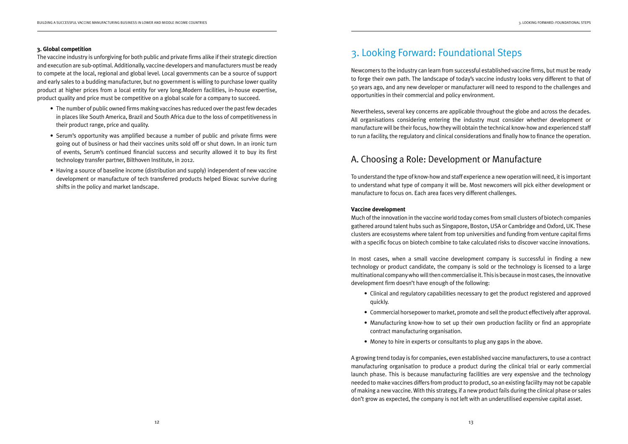#### **3. Global competition**

The vaccine industry is unforgiving for both public and private firms alike if their strategic direction and execution are sub-optimal. Additionally, vaccine developers and manufacturers must be ready to compete at the local, regional and global level. Local governments can be a source of support and early sales to a budding manufacturer, but no government is willing to purchase lower quality product at higher prices from a local entity for very long.Modern facilities, in-house expertise, product quality and price must be competitive on a global scale for a company to succeed.

- The number of public owned firms making vaccines has reduced over the past few decades in places like South America, Brazil and South Africa due to the loss of competitiveness in their product range, price and quality.
- Serum's opportunity was amplified because a number of public and private firms were going out of business or had their vaccines units sold off or shut down. In an ironic turn of events, Serum's continued financial success and security allowed it to buy its first technology transfer partner, Bilthoven Institute, in 2012.
- Having a source of baseline income (distribution and supply) independent of new vaccine development or manufacture of tech transferred products helped Biovac survive during shifts in the policy and market landscape.

# 3. Looking Forward: Foundational Steps

Newcomers to the industry can learn from successful established vaccine firms, but must be ready to forge their own path. The landscape of today's vaccine industry looks very different to that of 50 years ago, and any new developer or manufacturer will need to respond to the challenges and opportunities in their commercial and policy environment.

Nevertheless, several key concerns are applicable throughout the globe and across the decades. All organisations considering entering the industry must consider whether development or manufacture will be their focus, how they will obtain the technical know-how and experienced staff to run a facility, the regulatory and clinical considerations and finally how to finance the operation.

# A. Choosing a Role: Development or Manufacture

To understand the type of know-how and staff experience a new operation will need, it is important to understand what type of company it will be. Most newcomers will pick either development or manufacture to focus on. Each area faces very different challenges.

### **Vaccine development**

Much of the innovation in the vaccine world today comes from small clusters of biotech companies gathered around talent hubs such as Singapore, Boston, USA or Cambridge and Oxford, UK. These clusters are ecosystems where talent from top universities and funding from venture capital firms with a specific focus on biotech combine to take calculated risks to discover vaccine innovations.

In most cases, when a small vaccine development company is successful in finding a new technology or product candidate, the company is sold or the technology is licensed to a large multinational company who will then commercialise it. This is because in most cases, the innovative development firm doesn't have enough of the following:

• Clinical and regulatory capabilities necessary to get the product registered and approved

 • Commercial horsepower to market, promote and sell the product effectively after approval. • Manufacturing know-how to set up their own production facility or find an appropriate

- quickly.
- 
- contract manufacturing organisation.
- Money to hire in experts or consultants to plug any gaps in the above.

A growing trend today is for companies, even established vaccine manufacturers, to use a contract manufacturing organisation to produce a product during the clinical trial or early commercial launch phase. This is because manufacturing facilities are very expensive and the technology needed to make vaccines differs from product to product, so an existing faciilty may not be capable of making a new vaccine. With this strategy, if a new product fails during the clinical phase or sales don't grow as expected, the company is not left with an underutilised expensive capital asset.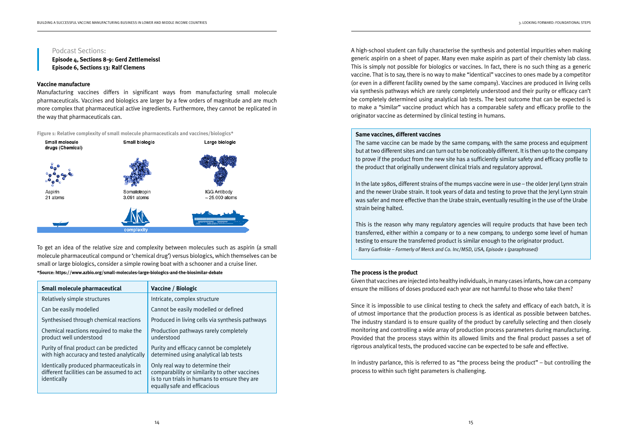**Episode 4, Sections 8-9: Gerd Zettlemeissl Episode 6, Sections 13: Ralf Clemens** 

#### **Vaccine manufacture**  $\mathcal{M}$  manufacturing vaccines differs in significant ways from manufacturing small molecules small molecules molecules molecules  $\mathcal{M}$

### Podcast Sections:

vaceme manaraceare<br>Manufacturing vaccines differs in significant ways from manufacturing small molecule pharmaceuticals. Vaccines and biologics are larger by a few orders of magnitude and are much more complex that pharmaceutical active ingredients. Furthermore, they cannot be replicated in the way that pharmaceuticals can.

**Figure 1: Relative complexity of small molecule pharmaceuticals and vaccines/biologics\***



To get an idea of the relative size and complexity between molecules such as aspirin (a small not get an idea or the relative size and complexity between molecules such as aspiring a simular molecule pharmaceutical compund or 'chemical drug') versus biologics, which themselves can be small or large biologics, consider a simple rowing boat with a schooner and a cruise liner.

#### **\*Source: https://www.azbio.org/small-molecules-large-biologics-and-the-biosimilar-debate**

**Episode 4, Sections 8-9:** Gerd Zettlemeissl

| <b>Small molecule pharmaceutical</b>                                                                 | Vaccine / Biologic                                                                                                                                                 |
|------------------------------------------------------------------------------------------------------|--------------------------------------------------------------------------------------------------------------------------------------------------------------------|
| Relatively simple structures                                                                         | Intricate, complex structure                                                                                                                                       |
| Can be easily modelled                                                                               | Cannot be easily modelled or defined                                                                                                                               |
| Synthesised through chemical reactions                                                               | Produced in living cells via synthesis pathways                                                                                                                    |
| Chemical reactions required to make the<br>product well understood                                   | Production pathways rarely completely<br>understood                                                                                                                |
| Purity of final product can be predicted<br>with high accuracy and tested analytically               | Purity and efficacy cannot be completely<br>determined using analytical lab tests                                                                                  |
| Identically produced pharmaceuticals in<br>different facilities can be assumed to act<br>identically | Only real way to determine their<br>comparability or similarity to other vaccines<br>is to run trials in humans to ensure they are<br>equally safe and efficacious |

A high-school student can fully characterise the synthesis and potential impurities when making generic aspirin on a sheet of paper. Many even make aspirin as part of their chemisty lab class. This is simply not possible for biologics or vaccines. In fact, there is no such thing as a generic vaccine. That is to say, there is no way to make "identical" vaccines to ones made by a competitor (or even in a different facility owned by the same company). Vaccines are produced in living cells via synthesis pathways which are rarely completely understood and their purity or efficacy can't be completely determined using analytical lab tests. The best outcome that can be expected is to make a "similar" vaccine product which has a comparable safety and efficacy profile to the originator vaccine as determined by clinical testing in humans.

#### **Same vaccines, different vaccines**

The same vaccine can be made by the same company, with the same process and equipment but at two different sites and can turn out to be noticeably different. It is then up to the company to prove if the product from the new site has a sufficiently similar safety and efficacy profile to the product that originally underwent clinical trials and regulatory approval.

In the late 1980s, different strains of the mumps vaccine were in use – the older Jeryl Lynn strain and the newer Urabe strain. It took years of data and testing to prove that the Jeryl Lynn strain was safer and more effective than the Urabe strain, eventually resulting in the use of the Urabe strain being halted.

This is the reason why many regulatory agencies will require products that have been tech transferred, either within a company or to a new company, to undergo some level of human testing to ensure the transferred product is similar enough to the originator product. - Barry Garfinkle – Formerly of Merck and Co. Inc/MSD, USA, Episode 1 (paraphrased)

#### **The process is the product**

Given that vaccines are injected into healthy individuals, in many cases infants, how can a company ensure the millions of doses produced each year are not harmful to those who take them?

Since it is impossible to use clinical testing to check the safety and efficacy of each batch, it is of utmost importance that the production process is as identical as possible between batches. The industry standard is to ensure quality of the product by carefully selecting and then closely monitoring and controlling a wide array of production process parameters during manufacturing. Provided that the process stays within its allowed limits and the final product passes a set of rigorous analytical tests, the produced vaccine can be expected to be safe and effective.

In industry parlance, this is referred to as "the process being the product" – but controlling the process to within such tight parameters is challenging.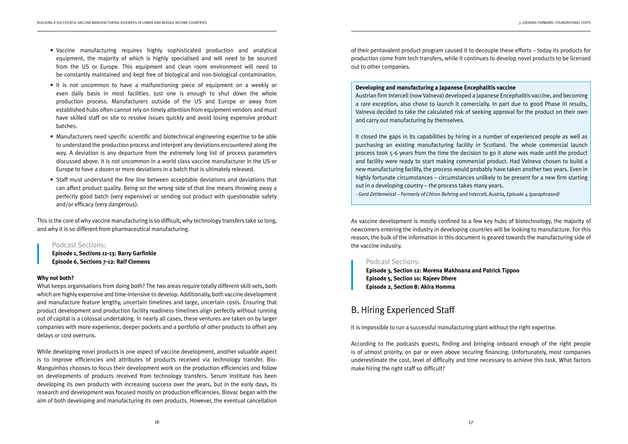- Vaccine manufacturing requires highly sophisticated production and analytical equipment, the majority of which is highly specialised and will need to be sourced from the US or Europe. This equipment and clean room environment will need to be constantly maintained and kept free of biological and non-biological contamination.
- It is not uncommon to have a malfunctioning piece of equipment on a weekly or even daily basis in most facilities. Just one is enough to shut down the whole production process. Manufacturers outside of the US and Europe or away from established hubs often cannot rely on timely attention from equipment vendors and must have skilled staff on site to resolve issues quickly and avoid losing expensive product batches.
- Manufacturers need specific scientific and biotechnical engineering expertise to be able to understand the production process and interpret any deviations encountered along the way. A deviation is any departure from the extremely long list of process parameters discussed above. It is not uncommon in a world class vaccine manufacturer in the US or Europe to have a dozen or more deviations in a batch that is ultimately released.
- Staff must understand the fine line between acceptable deviations and deviations that can affect product quality. Being on the wrong side of that line means throwing away a perfectly good batch (very expensive) or sending out product with questionable safety and/or efficacy (very dangerous).

This is the core of why vaccine manufacturing is so difficult, why technology transfers take so long, and why it is so different from pharmaceutical manufacturing.

### Podcast Sections:

**Episode 1, Sections 11-13: Barry Garfinkle Episode 6, Sections 7-12: Ralf Clemens**

### **Why not both?**

What keeps organisations from doing both? The two areas require totally different skill-sets, both which are highly expensive and time-intensive to develop. Additionally, both vaccine development and manufacture feature lengthy, uncertain timelines and large, uncertain costs. Ensuring that product development and production facility readiness timelines align perfectly without running out of capital is a colossal undertaking. In nearly all cases, these ventures are taken on by larger companies with more experience, deeper pockets and a portfolio of other products to offset any delays or cost overruns.

While developing novel products is one aspect of vaccine development, another valuable aspect is to improve efficiencies and attributes of products received via technology transfer. Bio-Manguinhos chooses to focus their development work on the production efficiencies and follow on developments of products received from technology transfers. Serum Institute has been developing its own products with increasing success over the years, but in the early days, its research and development was focused mostly on production efficiencies. Biovac began with the aim of both developing and manufacturing its own products. However, the eventual cancellation

of their pentavalent product program caused it to decouple these efforts – today its products for production come from tech transfers, while it continues to develop novel products to be licensed out to other companies.

**Developing and manufacturing a Japanese Encephalitis vaccine** Austrian firm Intercell (now Valneva) developed a Japanese Encephalitis vaccine, and becoming a rare exception, also chose to launch it comercially. In part due to good Phase III results, Valneva decided to take the calculated risk of seeking approval for the product on their own and carry out manufacturing by themselves.

It closed the gaps in its capabilities by hiring in a number of experienced people as well as purchasing an existing manufacturing facility in Scotland. The whole commercial launch process took 5-6 years from the time the decision to go it alone was made until the product and facility were ready to start making commercial product. Had Valneva chosen to build a new manufacturing facility, the process would probably have taken another two years. Even in highly fortunate circumstances – circumstances unlikely to be present for a new firm starting out in a developing country – the process takes many years. - Gerd Zettlemeissl – Formerly of Chiron Behring and Intercell, Austria, Episode 4 (paraphrased)

As vaccine development is mostly confined to a few key hubs of biotechnology, the majority of newcomers entering the industry in developing countries will be looking to manufacture. For this reason, the bulk of the information in this document is geared towards the manufacturing side of the vaccine industry.

### Podcast Sections:

**Episode 3, Section 12: Morena Makhoana and Patrick Tippoo Episode 5, Section 10: Rajeev Dhere Episode 2, Section 8: Akira Homma**

# B. Hiring Experienced Staff

It is impossible to run a successful manufacturing plant without the right expertise.

According to the podcasts guests, finding and bringing onboard enough of the right people is of utmost priority, on par or even above securing financing. Unfortunately, most companies underestimate the cost, level of difficulty and time necessary to achieve this task. What factors make hiring the right staff so difficult?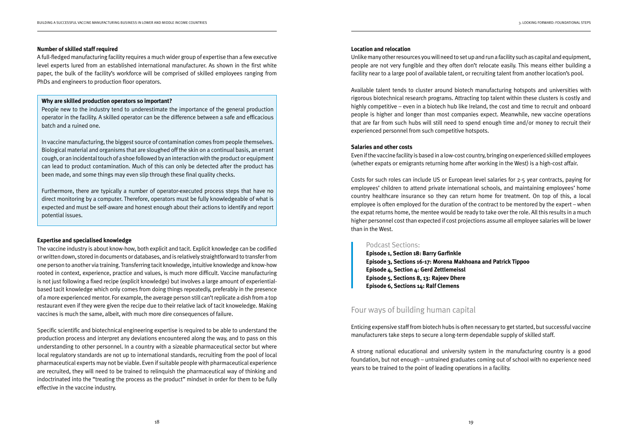#### **Number of skilled staff required**

A full-fledged manufacturing facility requires a much wider group of expertise than a few executive level experts lured from an established international manufacturer. As shown in the first white paper, the bulk of the facility's workforce will be comprised of skilled employees ranging from PhDs and engineers to production floor operators.

#### **Why are skilled production operators so important?**

People new to the industry tend to underestimate the importance of the general production operator in the facility. A skilled operator can be the difference between a safe and efficacious batch and a ruined one.

In vaccine manufacturing, the biggest source of contamination comes from people themselves. Biological material and organisms that are sloughed off the skin on a continual basis, an errant cough, or an incidental touch of a shoe followed by an interaction with the product or equipment can lead to product contamination. Much of this can only be detected after the product has been made, and some things may even slip through these final quality checks.

Furthermore, there are typically a number of operator-executed process steps that have no direct monitoring by a computer. Therefore, operators must be fully knowledgeable of what is expected and must be self-aware and honest enough about their actions to identify and report potential issues.

#### **Expertise and specialised knowledge**

The vaccine industry is about know-how, both explicit and tacit. Explicit knowledge can be codified or written down, stored in documents or databases, and is relatively straightforward to transfer from one person to another via training. Transferring tacit knowledge, intuitive knowledge and know-how rooted in context, experience, practice and values, is much more difficult. Vaccine manufacturing is not just following a fixed recipe (explicit knowledge) but involves a large amount of experientialbased tacit knowledge which only comes from doing things repeatedly, preferably in the presence of a more experienced mentor. For example, the average person still can't replicate a dish from a top restaurant even if they were given the recipe due to their relative lack of tacit knoweledge. Making vaccines is much the same, albeit, with much more dire consequences of failure.

Specific scientific and biotechnical engineering expertise is required to be able to understand the production process and interpret any deviations encountered along the way, and to pass on this understanding to other personnel. In a country with a sizeable pharmaceutical sector but where local regulatory standards are not up to international standards, recruiting from the pool of local pharmaceutical experts may not be viable. Even if suitable people with pharmaceutical experience are recruited, they will need to be trained to relinquish the pharmaceutical way of thinking and indoctrinated into the "treating the process as the product" mindset in order for them to be fully effective in the vaccine industry.

#### **Location and relocation**

Unlike many other resources you will need to set up and run a facility such as capital and equipment, people are not very fungible and they often don't relocate easily. This means either building a facility near to a large pool of available talent, or recruiting talent from another location's pool.

Available talent tends to cluster around biotech manufacturing hotspots and universities with rigorous biotechnical research programs. Attracting top talent within these clusters is costly and highly competitive – even in a biotech hub like Ireland, the cost and time to recruit and onboard people is higher and longer than most companies expect. Meanwhile, new vaccine operations that are far from such hubs will still need to spend enough time and/or money to recruit their experienced personnel from such competitive hotspots.

#### **Salaries and other costs**

Even if the vaccine facility is based in a low-cost country, bringing on experienced skilled employees (whether expats or emigrants returning home after working in the West) is a high-cost affair.

Costs for such roles can include US or European level salaries for 2-5 year contracts, paying for employees' children to attend private international schools, and maintaining employees' home country healthcare insurance so they can return home for treatment. On top of this, a local employee is often employed for the duration of the contract to be mentored by the expert – when the expat returns home, the mentee would be ready to take over the role. All this results in a much higher personnel cost than expected if cost projections assume all employee salaries will be lower than in the West.

### Podcast Sections:

**Episode 1, Section 18: Barry Garfinkle Episode 3, Sections 16-17: Morena Makhoana and Patrick Tippoo Episode 4, Section 4: Gerd Zettlemeissl Episode 5, Sections 8, 13: Rajeev Dhere Episode 6, Sections 14: Ralf Clemens**

# Four ways of building human capital

Enticing expensive staff from biotech hubs is often necessary to get started, but successful vaccine manufacturers take steps to secure a long-term dependable supply of skilled staff.

A strong national educational and university system in the manufacturing country is a good foundation, but not enough – untrained graduates coming out of school with no experience need years to be trained to the point of leading operations in a facility.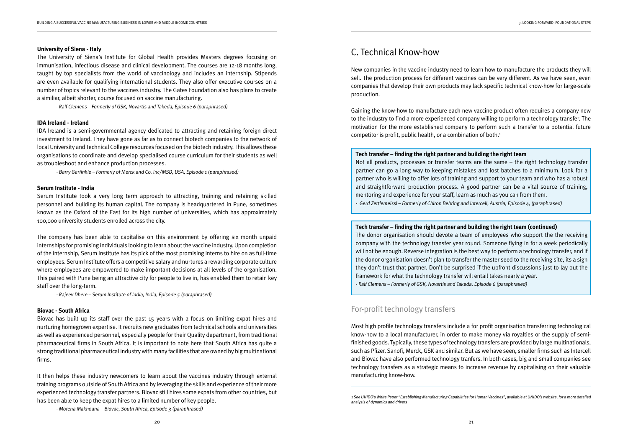#### **University of Siena - Italy**

The University of Siena's Institute for Global Health provides Masters degrees focusing on immunisation, infectious disease and clinical development. The courses are 12-18 months long, taught by top specialists from the world of vaccinology and includes an internship. Stipends are even available for qualifying international students. They also offer executive courses on a number of topics relevant to the vaccines industry. The Gates Foundation also has plans to create a similiar, albeit shorter, course focused on vaccine manufacturing.

- Ralf Clemens – Formerly of GSK, Novartis and Takeda, Episode 6 (paraphrased)

#### **IDA Ireland - Ireland**

IDA Ireland is a semi-governmental agency dedicated to attracting and retaining foreign direct investment to Ireland. They have gone as far as to connect biotech companies to the network of local University and Technical College resources focused on the biotech industry. This allows these organisations to coordinate and develop specialised course curriculum for their students as well as troubleshoot and enhance production processes.

- Barry Garfinkle – Formerly of Merck and Co. Inc/MSD, USA, Episode 1 (paraphrased)

#### **Serum Institute - India**

Serum Institute took a very long term approach to attracting, training and retaining skilled personnel and building its human capital. The company is headquartered in Pune, sometimes known as the Oxford of the East for its high number of universities, which has approximately 100,000 university students enrolled across the city.

The company has been able to capitalise on this environment by offering six month unpaid internships for promising individuals looking to learn about the vaccine industry. Upon completion of the internship, Serum Institute has its pick of the most promising interns to hire on as full-time employees. Serum Institute offers a competitive salary and nurtures a rewarding corporate culture where employees are empowered to make important decisions at all levels of the organisation. This paired with Pune being an attractive city for people to live in, has enabled them to retain key staff over the long-term.

- Rajeev Dhere – Serum Institute of India, India, Episode 5 (paraphrased)

#### **Biovac - South Africa**

Biovac has built up its staff over the past 15 years with a focus on limiting expat hires and nurturing homegrown expertise. It recruits new graduates from technical schools and universities as well as experienced personnel, especially people for their Quality department, from traditional pharmaceutical firms in South Africa. It is important to note here that South Africa has quite a strong traditional pharmaceutical industry with many facilities that are owned by big multinational firms.

It then helps these industry newcomers to learn about the vaccines industry through external training programs outside of South Africa and by leveraging the skills and experience of their more experienced technology transfer partners. Biovac still hires some expats from other countries, but has been able to keep the expat hires to a limited number of key people.

- Morena Makhoana – Biovac, South Africa, Episode 3 (paraphrased)

#### **Tech transfer – finding the right partner and building the right team**

Not all products, processes or transfer teams are the same – the right technology transfer partner can go a long way to keeping mistakes and lost batches to a minimum. Look for a partner who is willing to offer lots of training and support to your team and who has a robust and straightforward production process. A good partner can be a vital source of training, mentoring and experience for your staff, learn as much as you can from them. - Gerd Zettlemeissl – Formerly of Chiron Behring and Intercell, Austria, Episode 4, (paraphrased)

1 See UNIDO's White Paper "Establishing Manufacturing Capabilities for Human Vaccines", available at UNIDO's website, for a more detailed

# C. Technical Know-how

New companies in the vaccine industry need to learn how to manufacture the products they will sell. The production process for different vaccines can be very different. As we have seen, even companies that develop their own products may lack specific technical know-how for large-scale production.

Gaining the know-how to manufacture each new vaccine product often requires a company new to the industry to find a more experienced company willing to perform a technology transfer. The motivation for the more established company to perform such a transfer to a potential future competitor is profit, public health, or a combination of both.1

### **Tech transfer – finding the right partner and building the right team (continued)**

The donor organisation should devote a team of employees who support the the receiving company with the technology transfer year round. Someone flying in for a week periodically will not be enough. Reverse integration is the best way to perform a technology transfer, and if the donor organisation doesn't plan to transfer the master seed to the receiving site, its a sign they don't trust that partner. Don't be surprised if the upfront discussions just to lay out the framework for what the technology transfer will entail takes nearly a year. - Ralf Clemens – Formerly of GSK, Novartis and Takeda, Episode 6 (paraphrased)

# For-profit technology transfers

Most high profile technology transfers include a for profit organisation transferring technological know-how to a local manufacturer, in order to make money via royalties or the supply of semifinished goods. Typically, these types of technology transfers are provided by large multinationals, such as Pfizer, Sanofi, Merck, GSK and similar. But as we have seen, smaller firms such as Intercell and Biovac have also performed technology tranfers. In both cases, big and small companies see technology transfers as a strategic means to increase revenue by capitalising on their valuable manufacturing know-how.

analysis of dynamics and drivers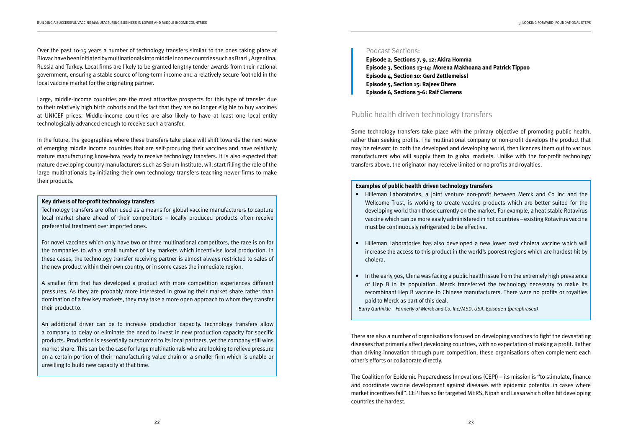Over the past 10-15 years a number of technology transfers similar to the ones taking place at Biovac have been initiated by multinationals into middle income countries such as Brazil, Argentina, Russia and Turkey. Local firms are likely to be granted lengthy tender awards from their national government, ensuring a stable source of long-term income and a relatively secure foothold in the local vaccine market for the originating partner.

Large, middle-income countries are the most attractive prospects for this type of transfer due to their relatively high birth cohorts and the fact that they are no longer eligible to buy vaccines at UNICEF prices. Middle-income countries are also likely to have at least one local entity technologically advanced enough to receive such a transfer.

In the future, the geographies where these transfers take place will shift towards the next wave of emerging middle income countries that are self-procuring their vaccines and have relatively mature manufacturing know-how ready to receive technology transfers. It is also expected that mature developing country manufacturers such as Serum Institute, will start filling the role of the large multinationals by initiating their own technology transfers teaching newer firms to make their products.

#### **Key drivers of for-profit technology transfers**

Technology transfers are often used as a means for global vaccine manufacturers to capture local market share ahead of their competitors – locally produced products often receive preferential treatment over imported ones.

For novel vaccines which only have two or three multinational competitors, the race is on for the companies to win a small number of key markets which incentivise local production. In these cases, the technology transfer receiving partner is almost always restricted to sales of the new product within their own country, or in some cases the immediate region.

A smaller firm that has developed a product with more competition experiences different pressures. As they are probably more interested in growing their market share rather than domination of a few key markets, they may take a more open approach to whom they transfer their product to.

An additional driver can be to increase production capacity. Technology transfers allow a company to delay or eliminate the need to invest in new production capacity for specific products. Production is essentially outsourced to its local partners, yet the company still wins market share. This can be the case for large multinationals who are looking to relieve pressure on a certain portion of their manufacturing value chain or a smaller firm which is unable or unwilling to build new capacity at that time.

### Podcast Sections:

**Episode 2, Sections 7, 9, 12: Akira Homma Episode 3, Sections 13-14: Morena Makhoana and Patrick Tippoo Episode 4, Section 10: Gerd Zettlemeissl Episode 5, Section 15: Rajeev Dhere Episode 6, Sections 3-6: Ralf Clemens**

# Public health driven technology transfers

Some technology transfers take place with the primary objective of promoting public health, rather than seeking profits. The multinational company or non-profit develops the product that may be relevant to both the developed and developing world, then licences them out to various manufacturers who will supply them to global markets. Unlike with the for-profit technology transfers above, the originator may receive limited or no profits and royalties.

## **Examples of public health driven technology transfers**

Wellcome Trust, is working to create vaccine products which are better suited for the developing world than those currently on the market. For example, a heat stable Rotavirus vaccine which can be more easily administered in hot countries – existing Rotavirus vaccine

- Hilleman Laboratories, a joint venture non-profit between Merck and Co Inc and the must be continuously refrigerated to be effective.
- cholera.
- In the early 90s, China was facing a public health issue from the extremely high prevalence paid to Merck as part of this deal.

- Barry Garfinkle - Formerly of Merck and Co. Inc/MSD, USA, Episode 1 (paraphrased)

• Hilleman Laboratories has also developed a new lower cost cholera vaccine which will increase the access to this product in the world's poorest regions which are hardest hit by

of Hep B in its population. Merck transferred the technology necessary to make its recombinant Hep B vaccine to Chinese manufacturers. There were no profits or royalties

There are also a number of organisations focused on developing vaccines to fight the devastating diseases that primarily affect developing countries, with no expectation of making a profit. Rather than driving innovation through pure competition, these organisations often complement each other's efforts or collaborate directly.

The Coalition for Epidemic Preparedness Innovations (CEPI) – its mission is "to stimulate, finance and coordinate vaccine development against diseases with epidemic potential in cases where market incentives fail". CEPI has so far targeted MERS, Nipah and Lassa which often hit developing countries the hardest.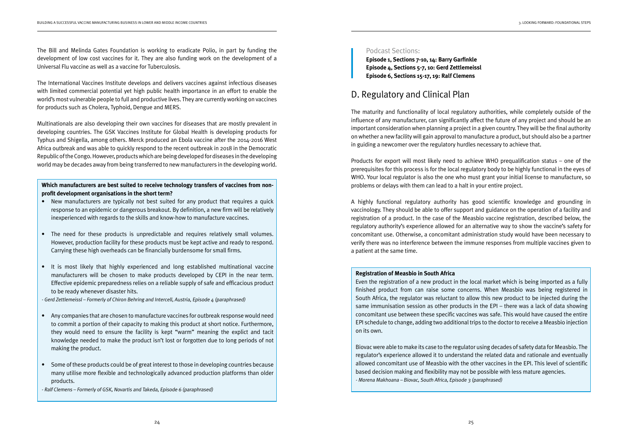The Bill and Melinda Gates Foundation is working to eradicate Polio, in part by funding the development of low cost vaccines for it. They are also funding work on the development of a Universal Flu vaccine as well as a vaccine for Tuberculosis.

The International Vaccines Institute develops and delivers vaccines against infectious diseases with limited commercial potential yet high public health importance in an effort to enable the world's most vulnerable people to full and productive lives. They are currently working on vaccines for products such as Cholera, Typhoid, Dengue and MERS.

Multinationals are also developing their own vaccines for diseases that are mostly prevalent in developing countries. The GSK Vaccines Institute for Global Health is developing products for Typhus and Shigella, among others. Merck produced an Ebola vaccine after the 2014-2016 West Africa outbreak and was able to quickly respond to the recent outbreak in 2018 in the Democratic Republic of the Congo. However, products which are being developed for diseases in the developing world may be decades away from being transferred to new manufacturers in the developing world.

**Which manufacturers are best suited to receive technology transfers of vaccines from nonprofit development organisations in the short term?**

- New manufacturers are typically not best suited for any product that requires a quick response to an epidemic or dangerous breakout. By definition, a new firm will be relatively inexperienced with regards to the skills and know-how to manufacture vaccines.
- The need for these products is unpredictable and requires relatively small volumes. However, production facility for these products must be kept active and ready to respond. Carrying these high overheads can be financially burdensome for small firms.
- It is most likely that highly experienced and long established multinational vaccine manufacturers will be chosen to make products developed by CEPI in the near term. Effective epidemic preparedness relies on a reliable supply of safe and efficacious product to be ready whenever disaster hits.

- Gerd Zettlemeissl – Formerly of Chiron Behring and Intercell, Austria, Episode 4 (paraphrased)

- Any companies that are chosen to manufacture vaccines for outbreak response would need to commit a portion of their capacity to making this product at short notice. Furthermore, they would need to ensure the facility is kept "warm" meaning the explict and tacit knowledge needed to make the product isn't lost or forgotten due to long periods of not making the product.
- Some of these products could be of great interest to those in developing countries because many utilise more flexible and technologically advanced production platforms than older products.

- Ralf Clemens – Formerly of GSK, Novartis and Takeda, Episode 6 (paraphrased)

### Podcast Sections:

**Episode 1, Sections 7-10, 14: Barry Garfinkle Episode 4, Sections 5-7, 10: Gerd Zettlemeissl Episode 6, Sections 15-17, 19: Ralf Clemens**

# D. Regulatory and Clinical Plan

The maturity and functionality of local regulatory authorities, while completely outside of the influence of any manufacturer, can significantly affect the future of any project and should be an important consideration when planning a project in a given country. They will be the final authority on whether a new facility will gain approval to manufacture a product, but should also be a partner in guiding a newcomer over the regulatory hurdles necessary to achieve that.

Products for export will most likely need to achieve WHO prequalification status – one of the prerequisites for this process is for the local regulatory body to be highly functional in the eyes of WHO. Your local regulator is also the one who must grant your initial license to manufacture, so problems or delays with them can lead to a halt in your entire project.

A highly functional regulatory authority has good scientific knowledge and grounding in vaccinology. They should be able to offer support and guidance on the operation of a facility and registration of a product. In the case of the Measbio vaccine registration, described below, the regulatory authority's experience allowed for an alternative way to show the vaccine's safety for concomitant use. Otherwise, a concomitant administration study would have been necessary to verify there was no interference between the immune responses from multiple vaccines given to a patient at the same time.

### **Registration of Measbio in South Africa**

Even the registration of a new product in the local market which is being imported as a fully finished product from can raise some concerns. When Measbio was being registered in South Africa, the regulator was reluctant to allow this new product to be injected during the same immunisation session as other products in the EPI – there was a lack of data showing concomitant use between these specific vaccines was safe. This would have caused the entire EPI schedule to change, adding two additional trips to the doctor to receive a Measbio injection on its own.

Biovac were able to make its case to the regulator using decades of safety data for Measbio. The regulator's experience allowed it to understand the related data and rationale and eventually allowed concomitant use of Measbio with the other vaccines in the EPI. This level of scientific based decision making and flexibility may not be possible with less mature agencies. - Morena Makhoana – Biovac, South Africa, Episode 3 (paraphrased)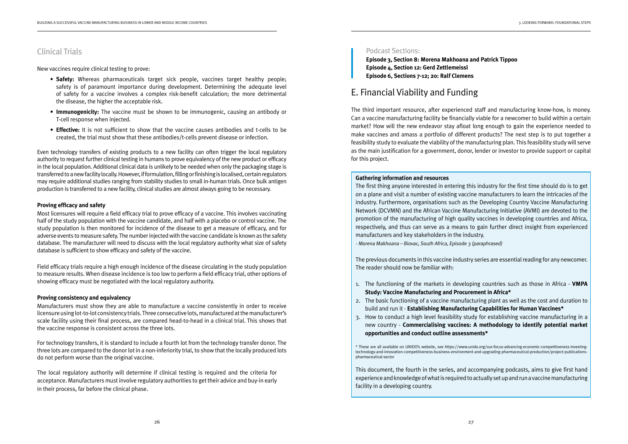The local regulatory authority will determine if clinical testing is required and the criteria for acceptance. Manufacturers must involve regulatory authorities to get their advice and buy-in early in their process, far before the clinical phase.

# Clinical Trials

New vaccines require clinical testing to prove:

- **Safety:** Whereas pharmaceuticals target sick people, vaccines target healthy people; safety is of paramount importance during development. Determining the adequate level of safety for a vaccine involves a complex risk-benefit calculation; the more detrimental the disease, the higher the acceptable risk.
- **Immunogenicity:** The vaccine must be shown to be immunogenic, causing an antibody or T-cell response when injected.
- **Effective:** It is not sufficient to show that the vaccine causes antibodies and t-cells to be created, the trial must show that these antibodies/t-cells prevent disease or infection.

Even technology transfers of existing products to a new facility can often trigger the local regulatory authority to request further clinical testing in humans to prove equivalency of the new product or efficacy in the local population. Additional clinical data is unlikely to be needed when only the packaging stage is transferred to a new facility locally. However, if formulation, filling or finishing is localised, certain regulators may require additional studies ranging from stability studies to small in-human trials. Once bulk antigen production is transferred to a new facility, clinical studies are almost always going to be necessary.

### **Proving efficacy and safety**

Most licensures will require a field efficacy trial to prove efficacy of a vaccine. This involves vaccinating half of the study population with the vaccine candidate, and half with a placebo or control vaccine. The study population is then monitored for incidence of the disease to get a measure of efficacy, and for adverse events to measure safety. The number injected with the vaccine candidate is known as the safety database. The manufacturer will need to discuss with the local regulatory authority what size of safety database is sufficient to show efficacy and safety of the vaccine.

The first thing anyone interested in entering this industry for the first time should do is to get on a plane and visit a number of existing vaccine manufacturers to learn the intricacies of the industry. Furthermore, organisations such as the Developing Country Vaccine Manufacturing Network (DCVMN) and the African Vaccine Manufacturing Initiative (AVMI) are devoted to the promotion of the manufacturing of high quality vaccines in developing countries and Africa, respectively, and thus can serve as a means to gain further direct insight from experienced manufacturers and key stakeholders in the industry. - Morena Makhoana – Biovac, South Africa, Episode 3 (paraphrased)

Field efficacy trials require a high enough incidence of the disease circulating in the study population to measure results. When disease incidence is too low to perform a field efficacy trial, other options of showing efficacy must be negotiated with the local regulatory authority.

### **Proving consistency and equivalency**

Manufacturers must show they are able to manufacture a vaccine consistently in order to receive licensure using lot-to-lot consistency trials. Three consecutive lots, manufactured at the manufacturer's scale facility using their final process, are compared head-to-head in a clinical trial. This shows that the vaccine response is consistent across the three lots.

For technology transfers, it is standard to include a fourth lot from the technology transfer donor. The three lots are compared to the donor lot in a non-inferiority trial, to show that the locally produced lots do not perform worse than the original vaccine.

### Podcast Sections:

**Episode 3, Section 8: Morena Makhoana and Patrick Tippoo Episode 4, Section 12: Gerd Zettlemeissl Episode 6, Sections 7-12; 20: Ralf Clemens**

# E. Financial Viability and Funding

The third important resource, after experienced staff and manufacturing know-how, is money. Can a vaccine manufacturing facility be financially viable for a newcomer to build within a certain market? How will the new endeavor stay afloat long enough to gain the experience needed to make vaccines and amass a portfolio of different products? The next step is to put together a feasibility study to evaluate the viability of the manufacturing plan. This feasibility study will serve as the main justification for a government, donor, lender or investor to provide support or capital for this project.

### **Gathering information and resources**

The previous documents in this vaccine industry series are essential reading for any newcomer. The reader should now be familiar with:

- 1. The functioning of the markets in developing countries such as those in Africa **VMPA Study: Vaccine Manufacturing and Procurement in Africa\***
- 2. The basic functioning of a vaccine manufacturing plant as well as the cost and duration to build and run it - **Establishing Manufacturing Capabilities for Human Vaccines\***
- 3. How to conduct a high level feasibility study for establishing vaccine manufacturing in a **opportunities and conduct outline assessments\***

new country - **Commercialising vaccines: A methodology to identify potential market** 

\* These are all available on UNIDO's website, see https://www.unido.org/our-focus-advancing-economic-competitiveness-investingtechnology-and-innovation-competitiveness-business-environment-and-upgrading-pharmaceutical-production/project-publicationspharmaceutical-sector

This document, the fourth in the series, and accompanying podcasts, aims to give first hand experience and knowledge of what is required to actually set up and run a vaccine manufacturing facility in a developing country.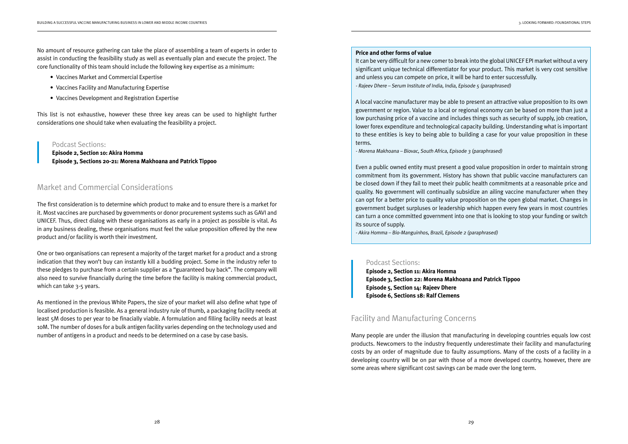No amount of resource gathering can take the place of assembling a team of experts in order to assist in conducting the feasibility study as well as eventually plan and execute the project. The core functionality of this team should include the following key expertise as a minimum:

- Vaccines Market and Commercial Expertise
- Vaccines Facility and Manufacturing Expertise
- Vaccines Development and Registration Expertise

This list is not exhaustive, however these three key areas can be used to highlight further considerations one should take when evaluating the feasibility a project.

# Market and Commercial Considerations

The first consideration is to determine which product to make and to ensure there is a market for it. Most vaccines are purchased by governments or donor procurement systems such as GAVI and UNICEF. Thus, direct dialog with these organisations as early in a project as possible is vital. As in any business dealing, these organisations must feel the value proposition offered by the new product and/or facility is worth their investment.

One or two organisations can represent a majority of the target market for a product and a strong indication that they won't buy can instantly kill a budding project. Some in the industry refer to these pledges to purchase from a certain supplier as a "guaranteed buy back". The company will also need to survive financially during the time before the facility is making commercial product, which can take 3-5 years.

As mentioned in the previous White Papers, the size of your market will also define what type of localised production is feasible. As a general industry rule of thumb, a packaging facility needs at least 5M doses to per year to be finacially viable. A formulation and filling facility needs at least 10M. The number of doses for a bulk antigen facility varies depending on the technology used and number of antigens in a product and needs to be determined on a case by case basis.

## Podcast Sections:

**Episode 2, Section 10: Akira Homma Episode 3, Sections 20-21: Morena Makhoana and Patrick Tippoo**

#### **Price and other forms of value**

It can be very difficult for a new comer to break into the global UNICEF EPI market without a very significant unique technical differentiator for your product. This market is very cost sensitive and unless you can compete on price, it will be hard to enter successfully. - Rajeev Dhere – Serum Institute of India, India, Episode 5 (paraphrased)

A local vaccine manufacturer may be able to present an attractive value proposition to its own government or region. Value to a local or regional economy can be based on more than just a low purchasing price of a vaccine and includes things such as security of supply, job creation, lower forex expenditure and technological capacity building. Understanding what is important to these entities is key to being able to building a case for your value proposition in these terms.

- Morena Makhoana – Biovac, South Africa, Episode 3 (paraphrased)

Even a public owned entity must present a good value proposition in order to maintain strong commitment from its government. History has shown that public vaccine manufacturers can be closed down if they fail to meet their public health commitments at a reasonable price and quality. No government will continually subsidize an ailing vaccine manufacturer when they can opt for a better price to quality value proposition on the open global market. Changes in government budget surpluses or leadership which happen every few years in most countries can turn a once committed government into one that is looking to stop your funding or switch its source of supply.

- Akira Homma – Bio-Manguinhos, Brazil, Episode 2 (paraphrased)

### Podcast Sections:

**Episode 2, Section 11: Akira Homma Episode 3, Section 22: Morena Makhoana and Patrick Tippoo Episode 5, Section 14: Rajeev Dhere Episode 6, Sections 18: Ralf Clemens**

# Facility and Manufacturing Concerns

Many people are under the illusion that manufacturing in developing countries equals low cost products. Newcomers to the industry frequently underestimate their facility and manufacturing costs by an order of magnitude due to faulty assumptions. Many of the costs of a facility in a developing country will be on par with those of a more developed country, however, there are some areas where significant cost savings can be made over the long term.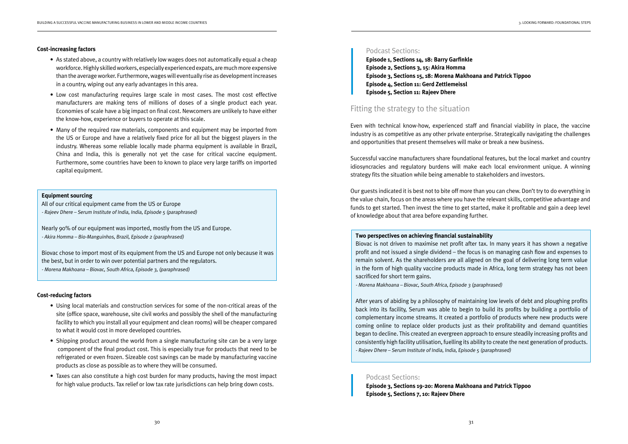#### **Cost-increasing factors**

- As stated above, a country with relatively low wages does not automatically equal a cheap workforce. Highly skilled workers, especially experienced expats, are much more expensive than the average worker. Furthermore, wages will eventually rise as development increases in a country, wiping out any early advantages in this area.
- Low cost manufacturing requires large scale in most cases. The most cost effective manufacturers are making tens of millions of doses of a single product each year. Economies of scale have a big impact on final cost. Newcomers are unlikely to have either the know-how, experience or buyers to operate at this scale.
- Many of the required raw materials, components and equipment may be imported from the US or Europe and have a relatively fixed price for all but the biggest players in the industry. Whereas some reliable locally made pharma equipment is available in Brazil, China and India, this is generally not yet the case for critical vaccine equipment. Furthermore, some countries have been to known to place very large tariffs on imported capital equipment.

#### **Equipment sourcing**

All of our critical equipment came from the US or Europe

- Rajeev Dhere - Serum Institute of India, India, Episode 5 (paraphrased)

Nearly 90% of our equipment was imported, mostly from the US and Europe. - Akira Homma – Bio-Manguinhos, Brazil, Episode 2 (paraphrased)

Biovac chose to import most of its equipment from the US and Europe not only because it was the best, but in order to win over potential partners and the regulators. - Morena Makhoana – Biovac, South Africa, Episode 3, (paraphrased)

#### **Cost-reducing factors**

- Using local materials and construction services for some of the non-critical areas of the site (office space, warehouse, site civil works and possibly the shell of the manufacturing facility to which you install all your equipment and clean rooms) will be cheaper compared to what it would cost in more developed countries.
- Shipping product around the world from a single manufacturing site can be a very large component of the final product cost. This is especially true for products that need to be refrigerated or even frozen. Sizeable cost savings can be made by manufacturing vaccine products as close as possible as to where they will be consumed.
- Taxes can also constitute a high cost burden for many products, having the most impact for high value products. Tax relief or low tax rate jurisdictions can help bring down costs.

### Podcast Sections:

**Episode 1, Sections 14, 18: Barry Garfinkle Episode 2, Sections 3, 15: Akira Homma Episode 3, Sections 15, 18: Morena Makhoana and Patrick Tippoo Episode 4, Section 11: Gerd Zettlemeissl Episode 5, Section 11: Rajeev Dhere**

## Fitting the strategy to the situation

Even with technical know-how, experienced staff and financial viability in place, the vaccine industry is as competitive as any other private enterprise. Strategically navigating the challenges and opportunities that present themselves will make or break a new business.

Successful vaccine manufacturers share foundational features, but the local market and country idiosyncracies and regulatory burdens will make each local environment unique. A winning strategy fits the situation while being amenable to stakeholders and investors.

Our guests indicated it is best not to bite off more than you can chew. Don't try to do everything in the value chain, focus on the areas where you have the relevant skills, competitive advantage and funds to get started. Then invest the time to get started, make it profitable and gain a deep level of knowledge about that area before expanding further.

#### **Two perspectives on achieving financial sustainability**

Biovac is not driven to maximise net profit after tax. In many years it has shown a negative profit and not issued a single dividend – the focus is on managing cash flow and expenses to remain solvent. As the shareholders are all aligned on the goal of delivering long term value in the form of high quality vaccine products made in Africa, long term strategy has not been sacrificed for short term gains.

- Morena Makhoana - Biovac, South Africa, Episode 3 (paraphrased)

After years of abiding by a philosophy of maintaining low levels of debt and ploughing profits back into its facility, Serum was able to begin to build its profits by building a portfolio of complementary income streams. It created a portfolio of products where new products were coming online to replace older products just as their profitability and demand quantities began to decline. This created an evergreen approach to ensure steadily increasing profits and consistently high facility utilisation, fuelling its ability to create the next generation of products. - Rajeev Dhere – Serum Institute of India, India, Episode 5 (paraphrased)

#### Podcast Sections:

**Episode 3, Sections 19-20: Morena Makhoana and Patrick Tippoo Episode 5, Sections 7, 10: Rajeev Dhere**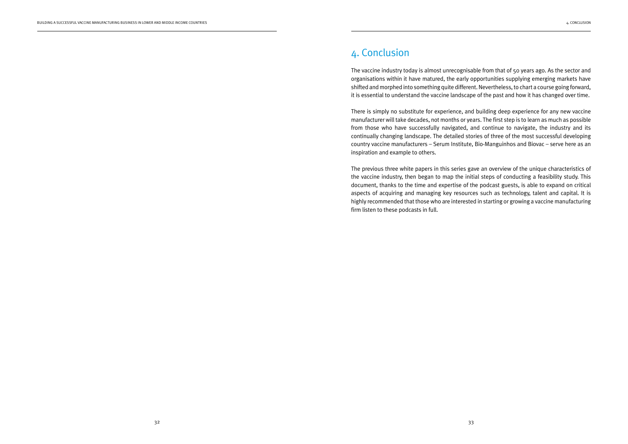# 4. Conclusion

The vaccine industry today is almost unrecognisable from that of 50 years ago. As the sector and organisations within it have matured, the early opportunities supplying emerging markets have shifted and morphed into something quite different. Nevertheless, to chart a course going forward, it is essential to understand the vaccine landscape of the past and how it has changed over time.

There is simply no substitute for experience, and building deep experience for any new vaccine manufacturer will take decades, not months or years. The first step is to learn as much as possible from those who have successfully navigated, and continue to navigate, the industry and its continually changing landscape. The detailed stories of three of the most successful developing country vaccine manufacturers – Serum Institute, Bio-Manguinhos and Biovac – serve here as an inspiration and example to others.

The previous three white papers in this series gave an overview of the unique characteristics of the vaccine industry, then began to map the initial steps of conducting a feasibility study. This document, thanks to the time and expertise of the podcast guests, is able to expand on critical aspects of acquiring and managing key resources such as technology, talent and capital. It is highly recommended that those who are interested in starting or growing a vaccine manufacturing firm listen to these podcasts in full.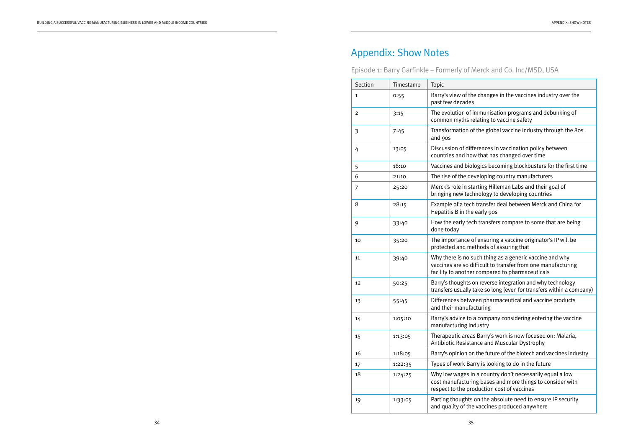# Appendix: Show Notes

Episode 1: Barry Garfinkle – Formerly of Merck and Co. Inc/MSD, USA

| Section | Timestamp | Topic                                                                                                                                                                      |
|---------|-----------|----------------------------------------------------------------------------------------------------------------------------------------------------------------------------|
| 1       | 0:55      | Barry's view of the changes in the vaccines industry over the<br>past few decades                                                                                          |
| 2       | 3:15      | The evolution of immunisation programs and debunking of<br>common myths relating to vaccine safety                                                                         |
| 3       | 7:45      | Transformation of the global vaccine industry through the 80s<br>and 90s                                                                                                   |
| 4       | 13:05     | Discussion of differences in vaccination policy between<br>countries and how that has changed over time                                                                    |
| 5       | 16:10     | Vaccines and biologics becoming blockbusters for the first time                                                                                                            |
| 6       | 21:10     | The rise of the developing country manufacturers                                                                                                                           |
| 7       | 25:20     | Merck's role in starting Hilleman Labs and their goal of<br>bringing new technology to developing countries                                                                |
| 8       | 28:15     | Example of a tech transfer deal between Merck and China for<br>Hepatitis B in the early 90s                                                                                |
| 9       | 33:40     | How the early tech transfers compare to some that are being<br>done todav                                                                                                  |
| 10      | 35:20     | The importance of ensuring a vaccine originator's IP will be<br>protected and methods of assuring that                                                                     |
| 11      | 39:40     | Why there is no such thing as a generic vaccine and why<br>vaccines are so difficult to transfer from one manufacturing<br>facility to another compared to pharmaceuticals |
| 12      | 50:25     | Barry's thoughts on reverse integration and why technology<br>transfers usually take so long (even for transfers within a company)                                         |
| 13      | 55:45     | Differences between pharmaceutical and vaccine products<br>and their manufacturing                                                                                         |
| 14      | 1:05:10   | Barry's advice to a company considering entering the vaccine<br>manufacturing industry                                                                                     |
| 15      | 1:13:05   | Therapeutic areas Barry's work is now focused on: Malaria,<br>Antibiotic Resistance and Muscular Dystrophy                                                                 |
| 16      | 1:18:05   | Barry's opinion on the future of the biotech and vaccines industry                                                                                                         |
| 17      | 1:22:35   | Types of work Barry is looking to do in the future                                                                                                                         |
| 18      | 1:24:25   | Why low wages in a country don't necessarily equal a low<br>cost manufacturing bases and more things to consider with<br>respect to the production cost of vaccines        |
| 19      | 1:33:05   | Parting thoughts on the absolute need to ensure IP security<br>and quality of the vaccines produced anywhere                                                               |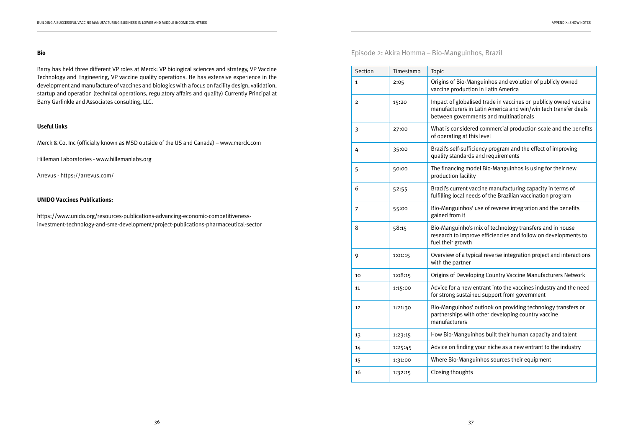Barry has held three different VP roles at Merck: VP biological sciences and strategy, VP Vaccine Technology and Engineering, VP vaccine quality operations. He has extensive experience in the development and manufacture of vaccines and biologics with a focus on facility design, validation, startup and operation (technical operations, regulatory affairs and quality) Currently Principal at Barry Garfinkle and Associates consulting, LLC.

### **Useful links**

Merck & Co. Inc (officially known as MSD outside of the US and Canada) – www.merck.com

Hilleman Laboratories - www.hillemanlabs.org

Arrevus - https://arrevus.com/

#### **UNIDO Vaccines Publications:**

https://www.unido.org/resources-publications-advancing-economic-competitivenessinvestment-technology-and-sme-development/project-publications-pharmaceutical-sector Episode 2: Akira Homma – Bio-Manguinhos, Brazil

| Section        | Timestamp | Topic                                                                          |
|----------------|-----------|--------------------------------------------------------------------------------|
| 1              | 2:05      | Origins of Bio-Manguinh<br>vaccine production in La                            |
| $\overline{2}$ | 15:20     | Impact of globalised trad<br>manufacturers in Latin A<br>between governments a |
| 3              | 27:00     | What is considered com<br>of operating at this level                           |
| 4              | 35:00     | Brazil's self-sufficiency p<br>quality standards and re                        |
| 5              | 50:00     | The financing model Bio<br>production facility                                 |
| 6              | 52:55     | Brazil's current vaccine r<br>fulfilling local needs of t                      |
| 7              | 55:00     | Bio-Manguinhos' use of<br>gained from it                                       |
| 8              | 58:15     | Bio-Manguinho's mix of<br>research to improve effic<br>fuel their growth       |
| 9              | 1:01:15   | Overview of a typical rev<br>with the partner                                  |
| 10             | 1:08:15   | Origins of Developing Co                                                       |
| 11             | 1:15:00   | Advice for a new entrant<br>for strong sustained sup                           |
| 12             | 1:21:30   | Bio-Manguinhos' outloo<br>partnerships with other<br>manufacturers             |
| 13             | 1:23:15   | How Bio-Manguinhos bu                                                          |
| 14             | 1:25:45   | Advice on finding your n                                                       |
| 15             | 1:31:00   | Where Bio-Manguinhos                                                           |
| 16             | 1:32:15   | Closing thoughts                                                               |

nguinhos and evolution of publicly owned n in Latin America

ed trade in vaccines on publicly owned vaccine Latin America and win/win tech transfer deals ents and multinationals

d commercial production scale and the benefits

iency program and the effect of improving and requirements

del Bio-Manguinhos is using for their new

ccine manufacturing capacity in terms of ds of the Brazilian vaccination program

use of reverse integration and the benefits

mix of technology transfers and in house ve efficiencies and follow on developments to

ical reverse integration project and interactions

oing Country Vaccine Manufacturers Network

entrant into the vaccines industry and the need ed support from government

outlook on providing technology transfers or other developing country vaccine

hos built their human capacity and talent

your niche as a new entrant to the industry

inhos sources their equipment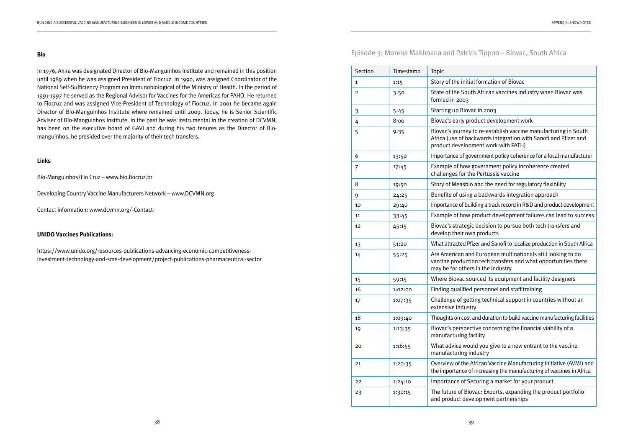In 1976, Akira was designated Director of Bio-Manguinhos Institute and remained in this position until 1989 when he was assigned President of Fiocruz. In 1990, was assigned Coordinator of the National Self-Sufficiency Program on Immunobiological of the Ministry of Health. In the period of 1991-1997 he served as the Regional Advisor for Vaccines for the Americas for PAHO. He returned to Fiocruz and was assigned Vice-President of Technology of Fiocruz. In 2001 he became again Director of Bio-Manguinhos Institute where remained until 2009. Today, he is Senior Scientific Adviser of Bio-Manguinhos Institute. In the past he was instrumental in the creation of DCVMN, has been on the executive board of GAVI and during his two tenures as the Director of Biomanguinhos, he presided over the majority of their tech transfers.

#### **Links**

Bio-Manguinhos/Fio Cruz – www.bio.fiocruz.br

Developing Country Vaccine Manufacturers Network – www.DCVMN.org

Contact information: www.dcvmn.org/-Contact-

### **UNIDO Vaccines Publications:**

https://www.unido.org/resources-publications-advancing-economic-competitivenessinvestment-technology-and-sme-development/project-publications-pharmaceutical-sector Episode 3: Morena Makhoana and Patrick Tippoo – Biovac, South Africa

| Section        | Timestamp | Topic                                                                    |
|----------------|-----------|--------------------------------------------------------------------------|
| 1              | 1:15      | Story of the initial forr                                                |
| 2              | 3:50      | State of the South Afr<br>formed in 2003                                 |
| 3              | 5:45      | Starting up Biovac in:                                                   |
| 4              | 8:00      | Biovac's early product                                                   |
| 5              | 9:35      | Biovac's journey to re-<br>Africa (use of backwa<br>product development  |
| 6              | 13:50     | Importance of governm                                                    |
| $\overline{7}$ | 17:45     | Example of how gover<br>challenges for the Per                           |
| 8              | 19:50     | Story of Measbio and                                                     |
| 9              | 24:25     | Benefits of using a ba                                                   |
| 10             | 29:40     | Importance of building                                                   |
| 11             | 33:45     | Example of how produ                                                     |
| 12             | 45:15     | Biovac's strategic dec<br>develop their own pro                          |
| 13             | 51:20     | What attracted Pfizer at                                                 |
| 14             | 55:25     | Are American and Eur<br>vaccine production te<br>may be for others in tl |
| 15             | 59:15     | Where Biovac sourced                                                     |
| 16             | 1:02:00   | Finding qualified pers                                                   |
| 17             | 1:07:35   | Challenge of getting to<br>extensive industry                            |
| 18             | 1:09:40   | Thoughts on cost and d                                                   |
| 19             | 1:13:35   | Biovac's perspective o<br>manufacturing facility                         |
| 20             | 1:16:55   | What advice would yo<br>manufacturing indust                             |
| 21             | 1:20:35   | Overview of the Africa<br>the importance of incre                        |
| 22             | 1:24:10   | <b>Importance of Securir</b>                                             |
| 23             | 1:30:15   | The future of Biovac: I<br>and product developn                          |
|                |           |                                                                          |

## formation of Biovac

h African vaccines industry when Biovac was

### ic in 2003

duct development work

to re-establish vaccine manufacturing in South kwards integration with Sanofi and Pfizer and nent work with PATH)

ernment policy coherence for a local manufacturer

zovernment policy incoherence created Pertussis vaccine

and the need for regulatory flexibility

a backwards integration approach

ding a track record in R&D and product development

oroduct development failures can lead to success

decision to pursue both tech transfers and products

er and Sanofi to localize production in South Africa

European multinationals still looking to do on tech transfers and what opportunities there in the industry

Inced its equipment and facility designers

personnel and staff training

ing technical support in countries without an

and duration to build vaccine manufacturing facilities

tive concerning the financial viability of a

Id you give to a new entrant to the vaccine dustry

frican Vaccine Manufacturing Initiative (AVMI) and increasing the manufacturing of vaccines in Africa

curing a market for your product

vac: Exports, expanding the product portfolio elopment partnerships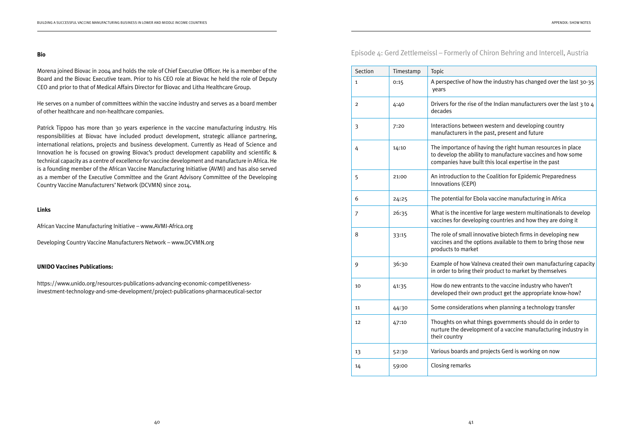Morena joined Biovac in 2004 and holds the role of Chief Executive Officer. He is a member of the Board and the Biovac Executive team. Prior to his CEO role at Biovac he held the role of Deputy CEO and prior to that of Medical Affairs Director for Biovac and Litha Healthcare Group.

He serves on a number of committees within the vaccine industry and serves as a board member of other healthcare and non-healthcare companies.

Patrick Tippoo has more than 30 years experience in the vaccine manufacturing industry. His responsibilities at Biovac have included product development, strategic alliance partnering, international relations, projects and business development. Currently as Head of Science and Innovation he is focused on growing Biovac's product development capability and scientific & technical capacity as a centre of excellence for vaccine development and manufacture in Africa. He is a founding member of the African Vaccine Manufacturing Initiative (AVMI) and has also served as a member of the Executive Committee and the Grant Advisory Committee of the Developing Country Vaccine Manufacturers' Network (DCVMN) since 2014.

#### **Links**

African Vaccine Manufacturing Initiative – www.AVMI-Africa.org

Developing Country Vaccine Manufacturers Network – www.DCVMN.org

### **UNIDO Vaccines Publications:**

https://www.unido.org/resources-publications-advancing-economic-competitivenessinvestment-technology-and-sme-development/project-publications-pharmaceutical-sector

# Episode 4: Gerd Zettlemeissl – Formerly of Chiron Behring and Intercell, Austria

| Section        | Timestamp | Topic                                                             |
|----------------|-----------|-------------------------------------------------------------------|
| 1              | 0:15      | A perspective of ho<br>years                                      |
| $\overline{c}$ | 4:40      | Drivers for the rise<br>decades                                   |
| 3              | 7:20      | Interactions betwee<br>manufacturers in th                        |
| 4              | 14:10     | The importance of<br>to develop the abili<br>companies have bu    |
| 5              | 21:00     | An introduction to t<br>Innovations (CEPI)                        |
| 6              | 24:25     | The potential for El                                              |
| 7              | 26:35     | What is the incentiv<br>vaccines for develo                       |
| 8              | 33:15     | The role of small in<br>vaccines and the op<br>products to market |
| 9              | 36:30     | Example of how Va<br>in order to bring the                        |
| 10             | 41:35     | How do new entrar<br>developed their ow                           |
| 11             | 44:30     | Some consideratio                                                 |
| 12             | 47:10     | Thoughts on what t<br>nurture the develo<br>their country         |
| 13             | 52:30     | Various boards and                                                |
| 14             | 59:00     | Closing remarks                                                   |

1 100:15 A perspective over the last 30-35

of the Indian manufacturers over the last  $3$  to  $4$ 

een western and developing country the past, present and future

 $f$  having the right human resources in place ility to manufacture vaccines and how some ouilt this local expertise in the past

the Coalition for Epidemic Preparedness

Ebola vaccine manufacturing in Africa

tive for large western multinationals to develop loping countries and how they are doing it

nnovative biotech firms in developing new options available to them to bring those new

alneva created their own manufacturing capacity heir product to market by themselves

Ints to the vaccine industry who haven't wn product get the appropriate know-how?

ons when planning a technology transfer

things governments should do in order to opment of a vaccine manufacturing industry in

1d projects Gerd is working on now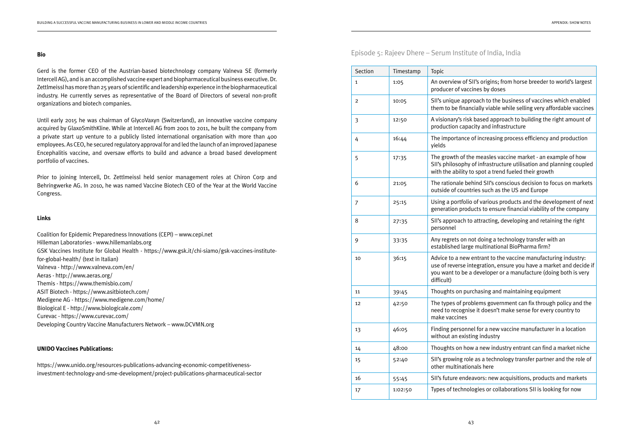Gerd is the former CEO of the Austrian-based biotechnology company Valneva SE (formerly Intercell AG), and is an accomplished vaccine expert and biopharmaceutical business executive. Dr. Zettlmeissl has more than 25 years of scientific and leadership experience in the biopharmaceutical industry. He currently serves as representative of the Board of Directors of several non-profit organizations and biotech companies.

Until early 2015 he was chairman of GlycoVaxyn (Switzerland), an innovative vaccine company acquired by GlaxoSmithKline. While at Intercell AG from 2001 to 2011, he built the company from a private start up venture to a publicly listed international organisation with more than 400 employees. As CEO, he secured regulatory approval for and led the launch of an improved Japanese Encephalitis vaccine, and oversaw efforts to build and advance a broad based development portfolio of vaccines.

Prior to joining Intercell, Dr. Zettlmeissl held senior management roles at Chiron Corp and Behringwerke AG. In 2010, he was named Vaccine Biotech CEO of the Year at the World Vaccine Congress.

#### **Links**

Coalition for Epidemic Preparedness Innovations (CEPI) – www.cepi.net Hilleman Laboratories - www.hillemanlabs.org GSK Vaccines Institute for Global Health - https://www.gsk.it/chi-siamo/gsk-vaccines-institutefor-global-health/ (text in Italian) Valneva - http://www.valneva.com/en/ Aeras - http://www.aeras.org/ Themis - https://www.themisbio.com/ ASIT Biotech - https://www.asitbiotech.com/ Medigene AG - https://www.medigene.com/home/ Biological E - http://www.biologicale.com/ Curevac - https://www.curevac.com/ Developing Country Vaccine Manufacturers Network – www.DCVMN.org

#### **UNIDO Vaccines Publications:**

https://www.unido.org/resources-publications-advancing-economic-competitivenessinvestment-technology-and-sme-development/project-publications-pharmaceutical-sector Episode 5: Rajeev Dhere – Serum Institute of India, India

| Section | Timestamp | Topic                                                                         |
|---------|-----------|-------------------------------------------------------------------------------|
| 1       | 1:05      | An overview of SII<br>producer of vaccir                                      |
| 2       | 10:05     | SII's unique appro<br>them to be financi                                      |
| 3       | 12:50     | A visionary's risk b<br>production capaci                                     |
| 4       | 16:44     | The importance of<br>yields                                                   |
| 5       | 17:35     | The growth of the<br>SII's philosophy of<br>with the ability to               |
| 6       | 21:05     | The rationale behi<br>outside of countri                                      |
| 7       | 25:15     | Using a portfolio o<br>generation produo                                      |
| 8       | 27:35     | SII's approach to a<br>personnel                                              |
| 9       | 33:35     | Any regrets on not<br>established large                                       |
| 10      | 36:15     | Advice to a new er<br>use of reverse inte<br>you want to be a c<br>difficult) |
| 11      | 39:45     | Thoughts on purcl                                                             |
| 12      | 42:50     | The types of probl<br>need to recognise<br>make vaccines                      |
| 13      | 46:05     | Finding personnel<br>without an existin                                       |
| 14      | 48:00     | Thoughts on how                                                               |
| 15      | 52:40     | SII's growing role<br>other multinationa                                      |
| 16      | 55:45     | SII's future endea                                                            |
| 17      | 1:02:50   | Types of technolo                                                             |

1's origins; from horse breeder to world's largest pes by doses

ach to the business of vaccines which enabled ially viable while selling very affordable vaccines

based approach to building the right amount of ity and infrastructure

f increasing process efficiency and production

measles vaccine market - an example of how f infrastructure utilisation and planning coupled spot a trend fueled their growth

ind SII's conscious decision to focus on markets es such as the US and Europe

of various products and the development of next cts to ensure financial viability of the company

attracting, developing and retaining the right

t doing a technology transfer with an multinational BioPharma firm?

ntrant to the vaccine manufacturing industry: egration, ensure you have a market and decide if developer or a manufacture (doing both is very

hasing and maintaining equipment

lems government can fix through policy and the  $\alpha$  it doesn't make sense for every country to

I for a new vaccine manufacturer in a location g industry

a new industry entrant can find a market niche

as a technology transfer partner and the role of als here

vors: new acquisitions, products and markets

gies or collaborations SII is looking for now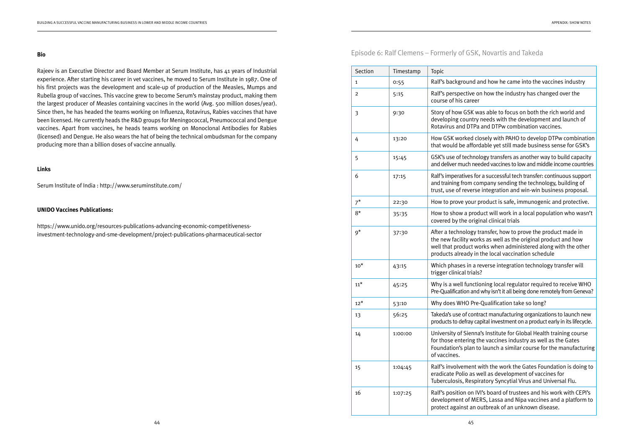Rajeev is an Executive Director and Board Member at Serum Institute, has 41 years of Industrial experience. After starting his career in vet vaccines, he moved to Serum Institute in 1987. One of his first projects was the development and scale-up of production of the Measles, Mumps and Rubella group of vaccines. This vaccine grew to become Serum's mainstay product, making them the largest producer of Measles containing vaccines in the world (Avg. 500 million doses/year). Since then, he has headed the teams working on Influenza, Rotavirus, Rabies vaccines that have been licensed. He currently heads the R&D groups for Meningococcal, Pneumococcal and Dengue vaccines. Apart from vaccines, he heads teams working on Monoclonal Antibodies for Rabies (licensed) and Dengue. He also wears the hat of being the technical ombudsman for the company producing more than a billion doses of vaccine annually.

#### **Links**

Serum Institute of India : http://www.seruminstitute.com/

#### **UNIDO Vaccines Publications:**

https://www.unido.org/resources-publications-advancing-economic-competitivenessinvestment-technology-and-sme-development/project-publications-pharmaceutical-sector

|  |  |  |  | Episode 6: Ralf Clemens - Formerly of GS |  |  |  |
|--|--|--|--|------------------------------------------|--|--|--|
|--|--|--|--|------------------------------------------|--|--|--|

| Section        | Timestamp | Topic                                                                                            |
|----------------|-----------|--------------------------------------------------------------------------------------------------|
| 1              | 0:55      | Ralf's background ar                                                                             |
| $\overline{2}$ | 5:15      | Ralf's perspective on<br>course of his career                                                    |
| 3              | 9:30      | Story of how GSK wa<br>developing country r<br>Rotavirus and DTPa a                              |
| 4              | 13:20     | How GSK worked clo<br>that would be afford.                                                      |
| 5              | 15:45     | GSK's use of technold<br>and deliver much need                                                   |
| 6              | 17:15     | Ralf's imperatives for<br>and training from con<br>trust, use of reverse                         |
| $7^{\star}$    | 22:30     | How to prove your pr                                                                             |
| $8*$           | 35:35     | How to show a produ<br>covered by the origin                                                     |
| $9^*$          | 37:30     | After a technology tra<br>the new facility work<br>well that product wo<br>products already in t |
| $10^*$         | 43:15     | Which phases in a re<br>trigger clinical trials?                                                 |
| $11^*$         | 45:25     | Why is a well functio<br>Pre-Qualification and v                                                 |
| $12^*$         | 53:10     | Why does WHO Pre-0                                                                               |
| 13             | 56:25     | Takeda's use of contra<br>products to defray cap                                                 |
| 14             | 1:00:00   | University of Sienna'<br>for those entering th<br>Foundation's plan to<br>of vaccines.           |
| 15             | 1:04:45   | Ralf's involvement w<br>eradicate Polio as we<br>Tuberculosis, Respira                           |
| 16             | 1:07:25   | Ralf's position on IVI<br>development of MER<br>protect against an ou                            |

## **EK. Novartis and Takeda**

and how he came into the vaccines industry

on how the industry has changed over the

was able to focus on both the rich world and ry needs with the development and launch of Pa and DTPw combination vaccines.

closely with PAHO to develop DTPw combination ordable yet still made business sense for GSK's

ology transfers as another way to build capacity eeded vaccines to low and middle income countries

for a successful tech transfer: continuous support company sending the technology, building of se integration and win-win business proposal.

product is safe, immunogenic and protective.

oduct will work in a local population who wasn't iginal clinical trials

transfer, how to prove the product made in orks as well as the original product and how works when administered along with the other in the local vaccination schedule

I reverse integration technology transfer will

tioning local regulator required to receive WHO nd why isn't it all being done remotely from Geneva?

re-Qualification take so long?

ntract manufacturing organizations to launch new capital investment on a product early in its lifecycle.

na's Institute for Global Health training course for the vaccines industry as well as the Gates to launch a similar course for the manufacturing

t with the work the Gates Foundation is doing to well as development of vaccines for piratory Syncytial Virus and Universal Flu.

IVI's board of trustees and his work with CEPI's IERS, Lassa and Nipa vaccines and a platform to outbreak of an unknown disease.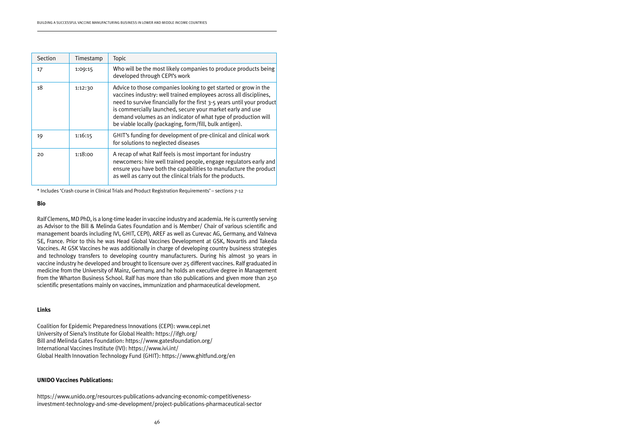Ralf Clemens, MD PhD, is a long-time leader in vaccine industry and academia. He is currently serving as Advisor to the Bill & Melinda Gates Foundation and is Member/ Chair of various scientific and management boards including IVI, GHIT, CEPI), AREF as well as Curevac AG, Germany, and Valneva SE, France. Prior to this he was Head Global Vaccines Development at GSK, Novartis and Takeda Vaccines. At GSK Vaccines he was additionally in charge of developing country business strategies and technology transfers to developing country manufacturers. During his almost 30 years in vaccine industry he developed and brought to licensure over 25 different vaccines. Ralf graduated in medicine from the University of Mainz, Germany, and he holds an executive degree in Management from the Wharton Business School. Ralf has more than 180 publications and given more than 250 scientific presentations mainly on vaccines, immunization and pharmaceutical development.

#### **Links**

Coalition for Epidemic Preparedness Innovations (CEPI): www.cepi.net University of Siena's Institute for Global Health: https://ifgh.org/ Bill and Melinda Gates Foundation: https://www.gatesfoundation.org/ International Vaccines Institute (IVI): https://www.ivi.int/ Global Health Innovation Technology Fund (GHIT): https://www.ghitfund.org/en

#### **UNIDO Vaccines Publications:**

https://www.unido.org/resources-publications-advancing-economic-competitivenessinvestment-technology-and-sme-development/project-publications-pharmaceutical-sector

| Section | Timestamp | <b>Topic</b>                                                                                                                                                                                                                                                                                                                                                                                              |
|---------|-----------|-----------------------------------------------------------------------------------------------------------------------------------------------------------------------------------------------------------------------------------------------------------------------------------------------------------------------------------------------------------------------------------------------------------|
| 17      | 1:09:15   | Who will be the most likely companies to produce products being<br>developed through CEPI's work                                                                                                                                                                                                                                                                                                          |
| 18      | 1:12:30   | Advice to those companies looking to get started or grow in the<br>vaccines industry: well trained employees across all disciplines,<br>need to survive financially for the first 3-5 years until your product<br>is commercially launched, secure your market early and use<br>demand volumes as an indicator of what type of production will<br>be viable locally (packaging, form/fill, bulk antigen). |
| 19      | 1:16:15   | GHIT's funding for development of pre-clinical and clinical work<br>for solutions to neglected diseases                                                                                                                                                                                                                                                                                                   |
| 20      | 1:18:00   | A recap of what Ralf feels is most important for industry<br>newcomers: hire well trained people, engage regulators early and<br>ensure you have both the capabilities to manufacture the product<br>as well as carry out the clinical trials for the products.                                                                                                                                           |

\* Includes 'Crash course in Clinical Trials and Product Registration Requirements' – sections 7-12